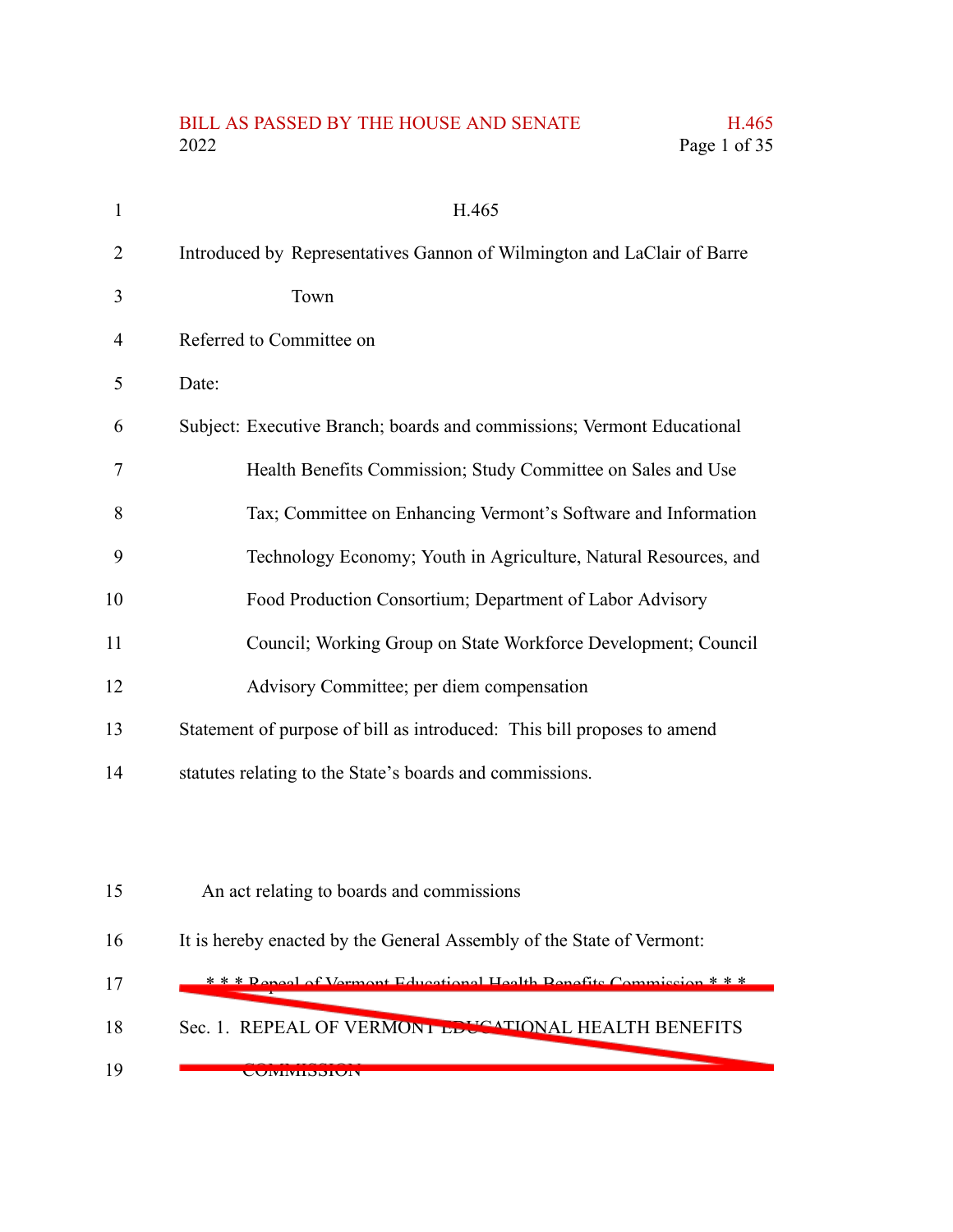### BILL AS PASSED BY THE HOUSE AND SENATE H.465<br>2022 Page 1 of 35 Page 1 of 35

| $\mathbf{1}$ | H.465                                                                   |
|--------------|-------------------------------------------------------------------------|
| 2            | Introduced by Representatives Gannon of Wilmington and LaClair of Barre |
| 3            | Town                                                                    |
| 4            | Referred to Committee on                                                |
| 5            | Date:                                                                   |
| 6            | Subject: Executive Branch; boards and commissions; Vermont Educational  |
| 7            | Health Benefits Commission; Study Committee on Sales and Use            |
| 8            | Tax; Committee on Enhancing Vermont's Software and Information          |
| 9            | Technology Economy; Youth in Agriculture, Natural Resources, and        |
| 10           | Food Production Consortium; Department of Labor Advisory                |
| 11           | Council; Working Group on State Workforce Development; Council          |
| 12           | Advisory Committee; per diem compensation                               |
| 13           | Statement of purpose of bill as introduced: This bill proposes to amend |
| 14           | statutes relating to the State's boards and commissions.                |
|              |                                                                         |
| 15           | An act relating to boards and commissions                               |
| 16           | It is hereby enacted by the General Assembly of the State of Vermont:   |
| 17           | *** Reneal of Vermont Educational Health Renefits Commission ***        |
| 18           | Sec. 1. REPEAL OF VERMONT EDUCATIONAL HEALTH BENEFITS                   |
| 19           | <b>UUIVIIVIIDDIUIV</b>                                                  |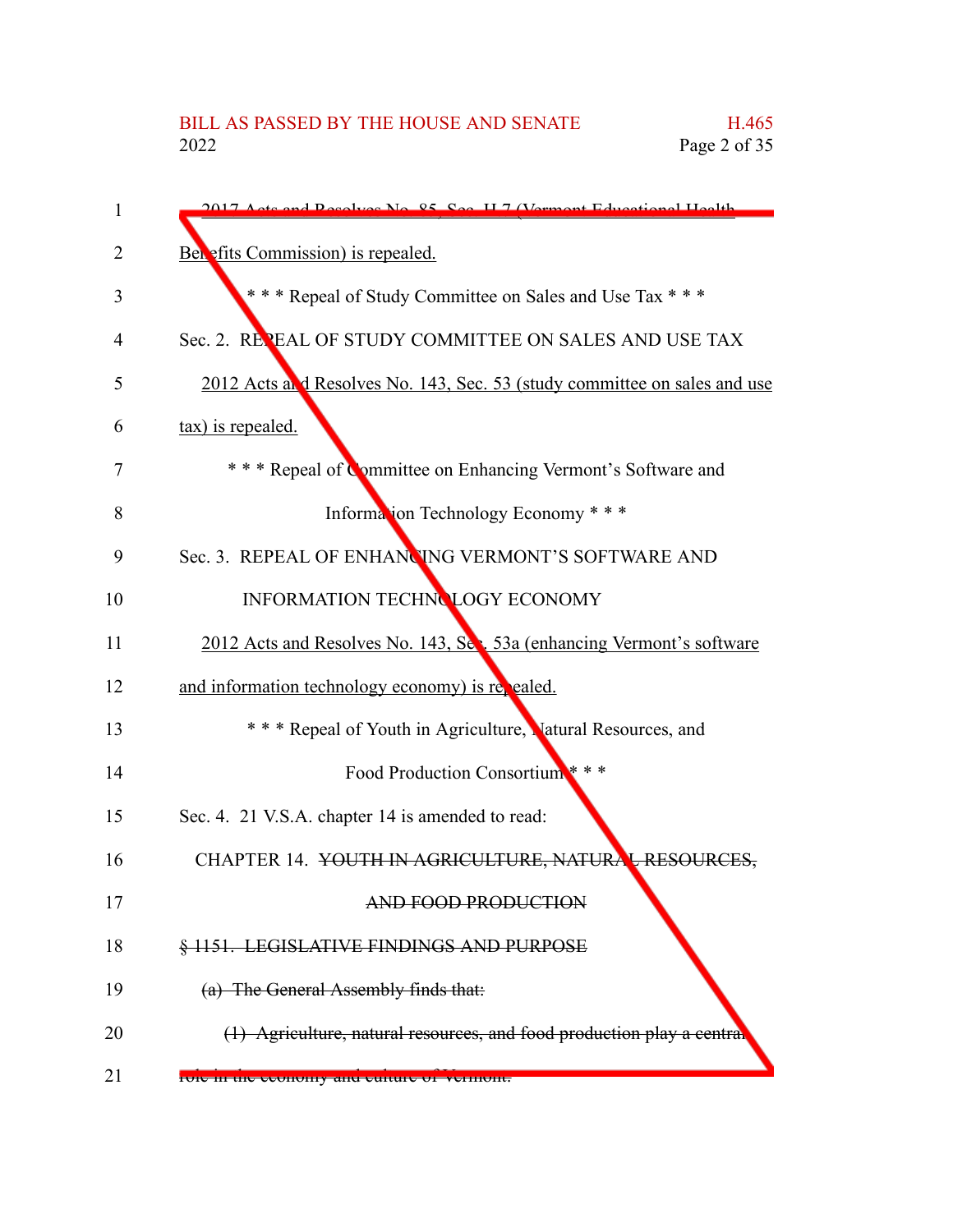| 1  | 2017 Acts and Resolves No. 85, See, H. 7 (Vermont Educational Health)     |
|----|---------------------------------------------------------------------------|
| 2  | Benefits Commission) is repealed.                                         |
| 3  | *** Repeal of Study Committee on Sales and Use Tax ***                    |
| 4  | Sec. 2. REPEAL OF STUDY COMMITTEE ON SALES AND USE TAX                    |
| 5  | 2012 Acts and Resolves No. 143, Sec. 53 (study committee on sales and use |
| 6  | tax) is repealed.                                                         |
| 7  | * * * Repeal of Committee on Enhancing Vermont's Software and             |
| 8  | Information Technology Economy ***                                        |
| 9  | Sec. 3. REPEAL OF ENHANCING VERMONT'S SOFTWARE AND                        |
| 10 | INFORMATION TECHNOLOGY ECONOMY                                            |
| 11 | 2012 Acts and Resolves No. 143, Sec. 53a (enhancing Vermont's software    |
| 12 | and information technology economy) is repealed.                          |
| 13 | * * * Repeal of Youth in Agriculture, Matural Resources, and              |
| 14 | Food Production Consortium ***                                            |
| 15 | Sec. 4. 21 V.S.A. chapter 14 is amended to read:                          |
| 16 | CHAPTER 14. YOUTH IN AGRICULTURE, NATURAL RESOURCES,                      |
| 17 | <b>AND FOOD PRODUCTION</b>                                                |
| 18 | § 1151. LEGISLATIVE FINDINGS AND PURPOSE                                  |
| 19 | (a) The General Assembly finds that:                                      |
| 20 | (1) Agriculture, natural resources, and food production play a central    |
| 21 | FOIC In the economy and culture of vermont.                               |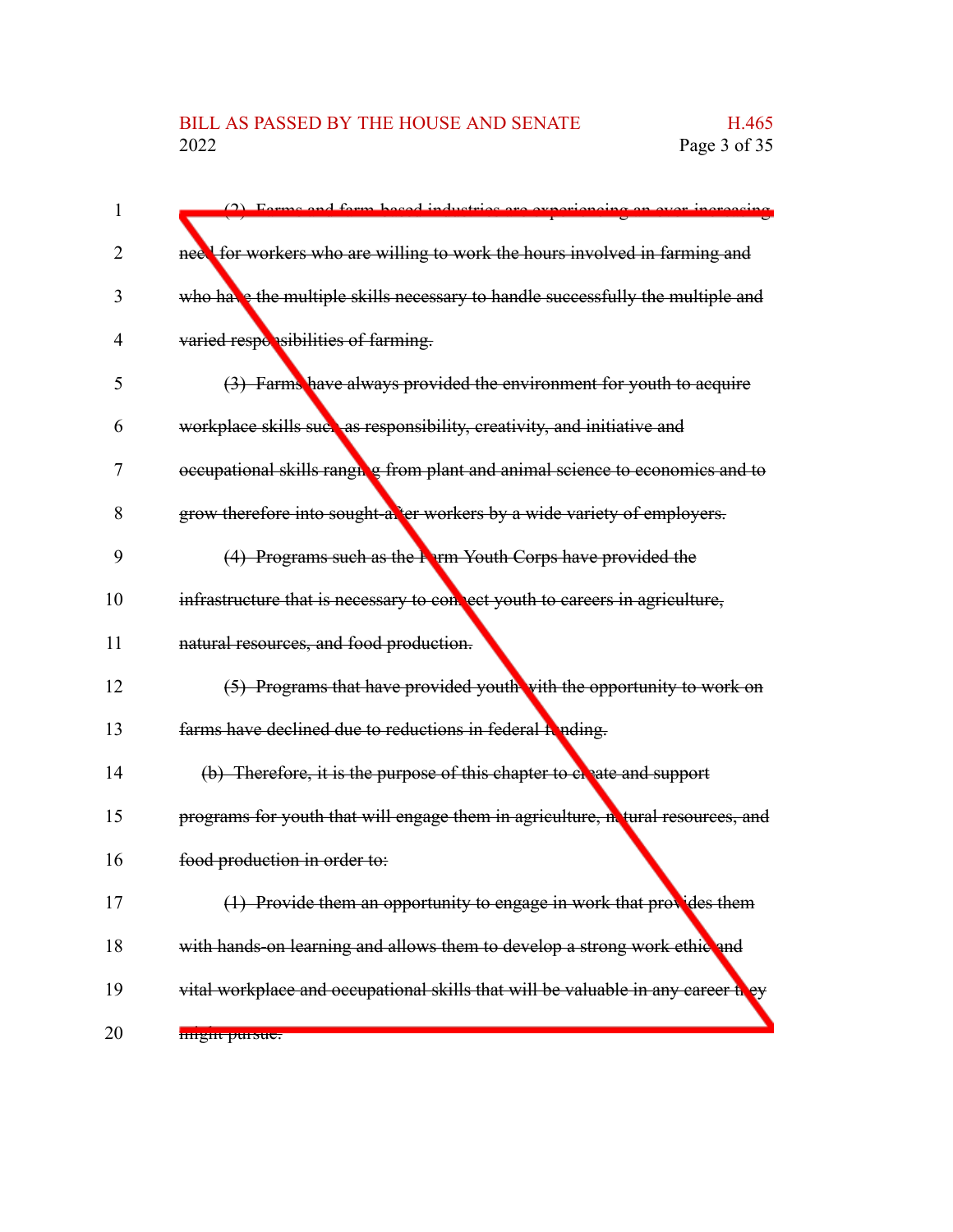| 1  | (2) Forme and form bocad inductries are experiencing on ever increasing          |
|----|----------------------------------------------------------------------------------|
| 2  | neel for workers who are willing to work the hours involved in farming and       |
| 3  | who have the multiple skills necessary to handle successfully the multiple and   |
| 4  | varied responsibilities of farming.                                              |
| 5  | (3) Farms have always provided the environment for youth to acquire              |
| 6  | workplace skills such as responsibility, creativity, and initiative and          |
| 7  | occupational skills rangule from plant and animal science to economics and to    |
| 8  | grow therefore into sought-axters workers by a wide variety of employers.        |
| 9  | (4) Programs such as the <b>Parm Youth Corps have provided the</b>               |
| 10 | infrastructure that is necessary to connect youth to careers in agriculture,     |
| 11 | natural resources, and food production.                                          |
| 12 | (5) Programs that have provided youth with the opportunity to work on            |
| 13 | farms have declined due to reductions in federal fonding.                        |
| 14 | (b) Therefore, it is the purpose of this chapter to electer and support          |
| 15 | programs for youth that will engage them in agriculture, netural resources, and  |
| 16 | food production in order to:                                                     |
| 17 | (1) Provide them an opportunity to engage in work that provides them             |
| 18 | with hands-on learning and allows them to develop a strong work ethic and        |
| 19 | vital workplace and occupational skills that will be valuable in any career they |
| 20 | <b>HILETTE PULSUS</b>                                                            |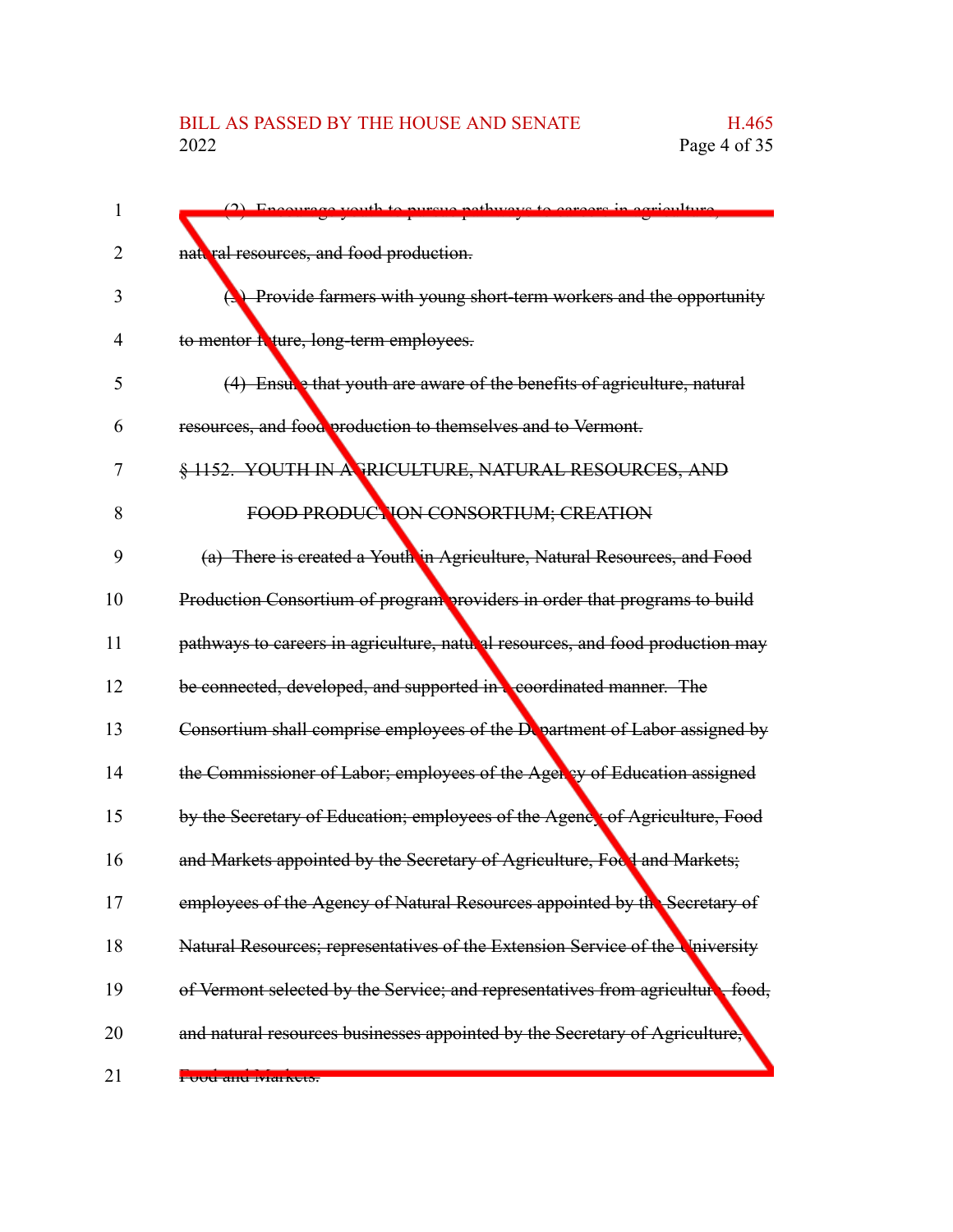| I  |                                                                                |
|----|--------------------------------------------------------------------------------|
| 2  | nattral resources, and food production.                                        |
| 3  | <b>(3)</b> Provide farmers with young short-term workers and the opportunity   |
| 4  | to mentor heture, long-term employees.                                         |
| 5  | (4) Ensule that youth are aware of the benefits of agriculture, natural        |
| 6  | resources, and food production to themselves and to Vermont.                   |
| 7  | § 1152. YOUTH IN A FRICULTURE, NATURAL RESOURCES, AND                          |
| 8  | FOOD PRODUCTION CONSORTIUM; CREATION                                           |
| 9  | (a) There is created a Youth in Agriculture, Natural Resources, and Food       |
| 10 | Production Consortium of program providers in order that programs to build     |
| 11 | pathways to careers in agriculture, natural resources, and food production may |
| 12 | be connected, developed, and supported in coordinated manner. The              |
| 13 | Consortium shall comprise employees of the Department of Labor assigned by     |
| 14 | the Commissioner of Labor; employees of the Agency of Education assigned       |
| 15 | by the Secretary of Education; employees of the Agency of Agriculture, Food    |
| 16 | and Markets appointed by the Secretary of Agriculture, Focd and Markets;       |
| 17 | employees of the Agency of Natural Resources appointed by the Secretary of     |
| 18 | Natural Resources; representatives of the Extension Service of the University  |
| 19 | of Vermont selected by the Service; and representatives from agriculture food, |
| 20 | and natural resources businesses appointed by the Secretary of Agriculture,    |
| 21 | <del>i oou anu iviaikeis.</del>                                                |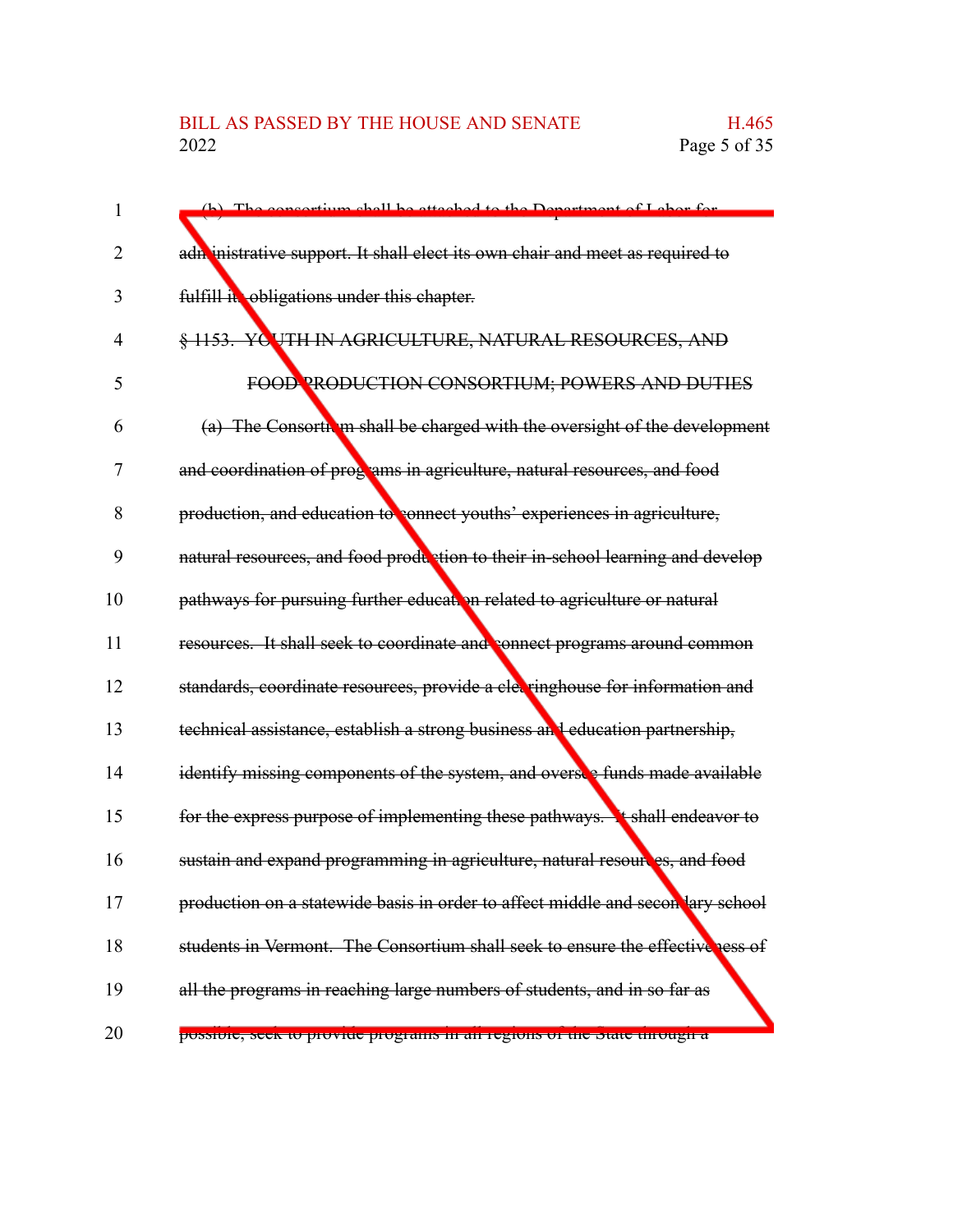| 1  | (b) The consertium shall be etteched to the Department of Labor for             |
|----|---------------------------------------------------------------------------------|
| 2  | adn inistrative support. It shall elect its own chair and meet as required to   |
| 3  | fulfill it obligations under this chapter.                                      |
| 4  | § 1153. YC UTH IN AGRICULTURE, NATURAL RESOURCES, AND                           |
| 5  | FOOD PRODUCTION CONSORTIUM; POWERS AND DUTIES                                   |
| 6  | (a) The Consorth in shall be charged with the oversight of the development      |
| 7  | and coordination of programs in agriculture, natural resources, and food        |
| 8  | production, and education to connect youths' experiences in agriculture,        |
| 9  | natural resources, and food production to their in-school learning and develop  |
| 10 | pathways for pursuing further education related to agriculture or natural       |
| 11 | resources. It shall seek to coordinate and connect programs around common       |
| 12 | standards, coordinate resources, provide a cleeringhouse for information and    |
| 13 | technical assistance, establish a strong business and education partnership,    |
| 14 | identify missing components of the system, and oversee funds made available     |
| 15 | for the express purpose of implementing these pathways. It shall endeavor to    |
| 16 | sustain and expand programming in agriculture, natural resoures, and food       |
| 17 | production on a statewide basis in order to affect middle and secon lary school |
| 18 | students in Vermont. The Consortium shall seek to ensure the effectiveness of   |
| 19 | all the programs in reaching large numbers of students, and in so far as        |
| 20 | possible, seek to provide programs in an regions of the state unough a          |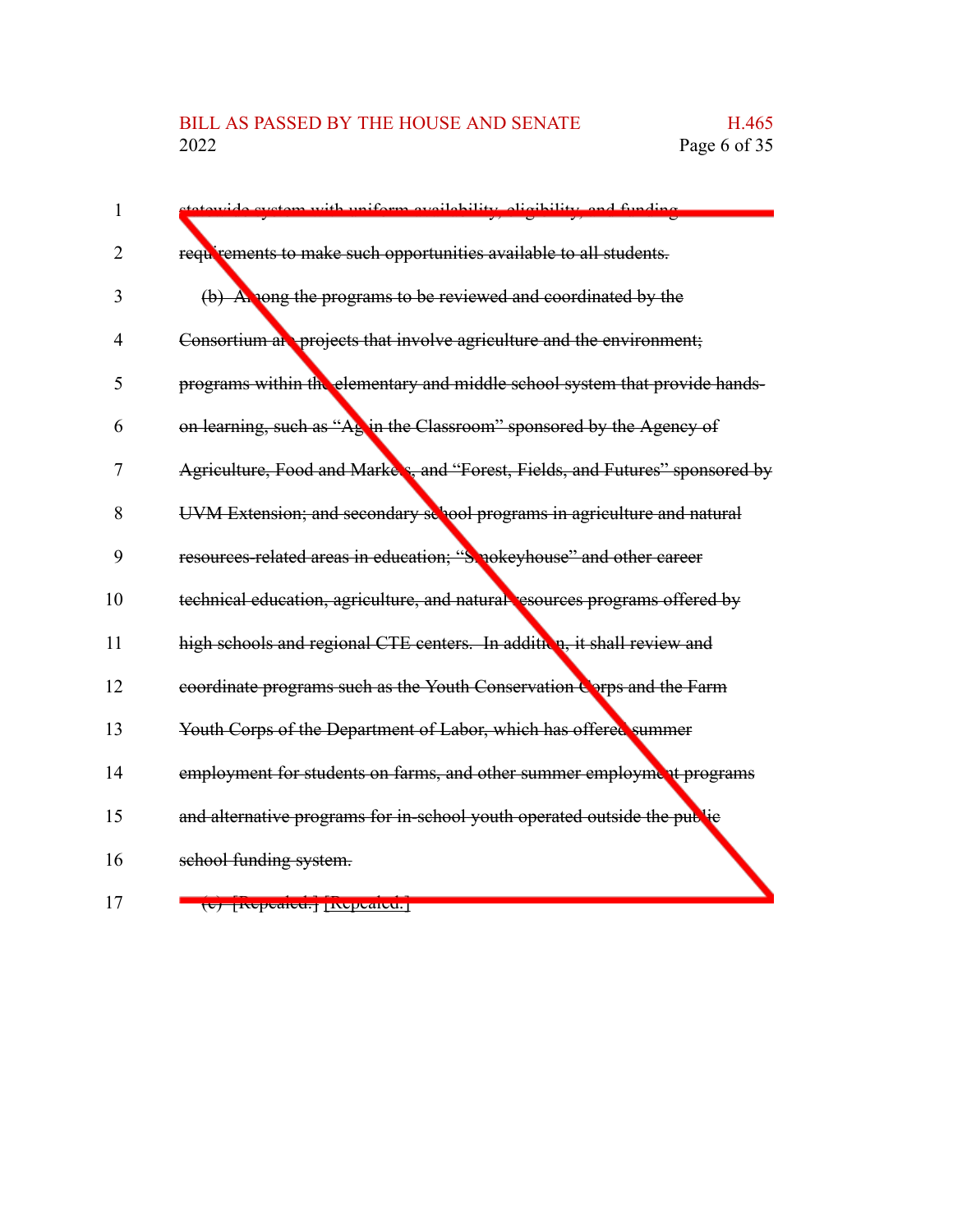## BILL AS PASSED BY THE HOUSE AND SENATE H.465<br>2022 Page 6 of 35

| $\mathbf{1}$   | avetam with uniform availability gligibility and funding                      |
|----------------|-------------------------------------------------------------------------------|
| 2              | requirements to make such opportunities available to all students.            |
| 3              | (b) A nong the programs to be reviewed and coordinated by the                 |
| $\overline{4}$ | Consortium at projects that involve agriculture and the environment;          |
| 5              | programs within the elementary and middle school system that provide hands-   |
| 6              | on learning, such as "Ag in the Classroom" sponsored by the Agency of         |
| 7              | Agriculture, Food and Markers, and "Forest, Fields, and Futures" sponsored by |
| 8              | UVM Extension; and secondary sellool programs in agriculture and natural      |
| 9              | resources-related areas in education; "Smokeyhouse" and other career          |
| 10             | technical education, agriculture, and natural resources programs offered by   |
| 11             | high schools and regional CTE centers. In addition, it shall review and       |
| 12             | coordinate programs such as the Youth Conservation Corps and the Farm         |
| 13             | Youth Corps of the Department of Labor, which has offered summer              |
| 14             | employment for students on farms, and other summer employment programs        |
| 15             | and alternative programs for in-school youth operated outside the public      |
| 16             | school funding system.                                                        |
|                |                                                                               |

17

(c) [Repealed.] [Repealed.]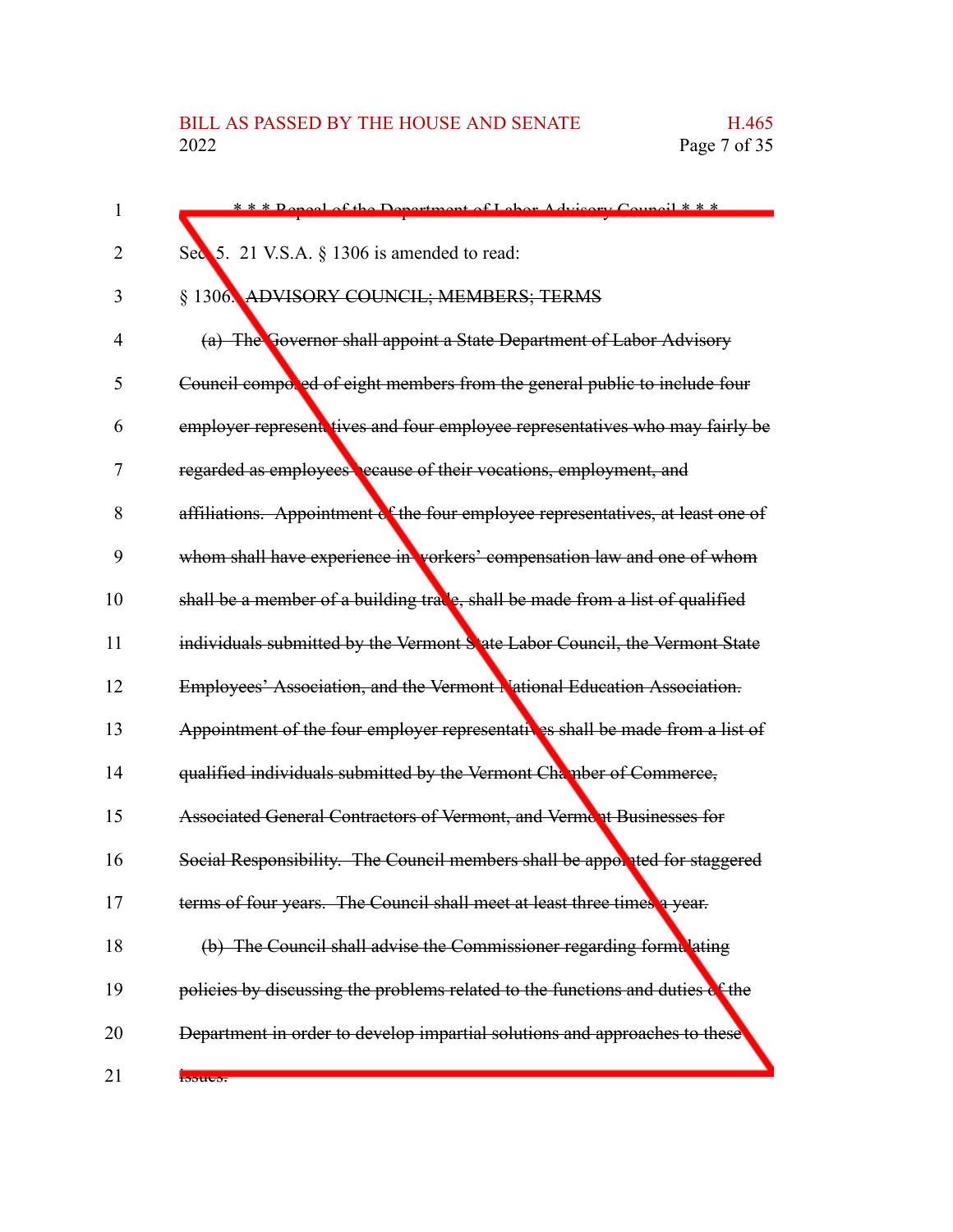| 1  | *** Deneel of the Department of Labor Advisory Council ***                      |
|----|---------------------------------------------------------------------------------|
| 2  | Sec 5. 21 V.S.A. § 1306 is amended to read:                                     |
| 3  | § 1306. ADVISORY COUNCIL; MEMBERS; TERMS                                        |
| 4  | (a) The Governor shall appoint a State Department of Labor Advisory             |
| 5  | Council composed of eight members from the general public to include four       |
| 6  | employer represent tives and four employee representatives who may fairly be    |
| 7  | regarded as employees ecause of their vocations, employment, and                |
| 8  | affiliations. Appointment of the four employee representatives, at least one of |
| 9  | whom shall have experience in vorkers' compensation law and one of whom         |
| 10 | shall be a member of a building trace, shall be made from a list of qualified   |
| 11 | individuals submitted by the Vermont S ate Labor Council, the Vermont State     |
| 12 | Employees' Association, and the Vermont National Education Association.         |
| 13 | Appointment of the four employer representatives shall be made from a list of   |
| 14 | qualified individuals submitted by the Vermont Chamber of Commerce,             |
| 15 | Associated General Contractors of Vermont, and Vermont Businesses for           |
| 16 | Social Responsibility. The Council members shall be apporated for staggered     |
| 17 | terms of four years. The Council shall meet at least three times a year.        |
| 18 | (b) The Council shall advise the Commissioner regarding formulating             |
| 19 | policies by discussing the problems related to the functions and duties of the  |
| 20 | Department in order to develop impartial solutions and approaches to these      |
| 21 | <b>Bouto</b> .                                                                  |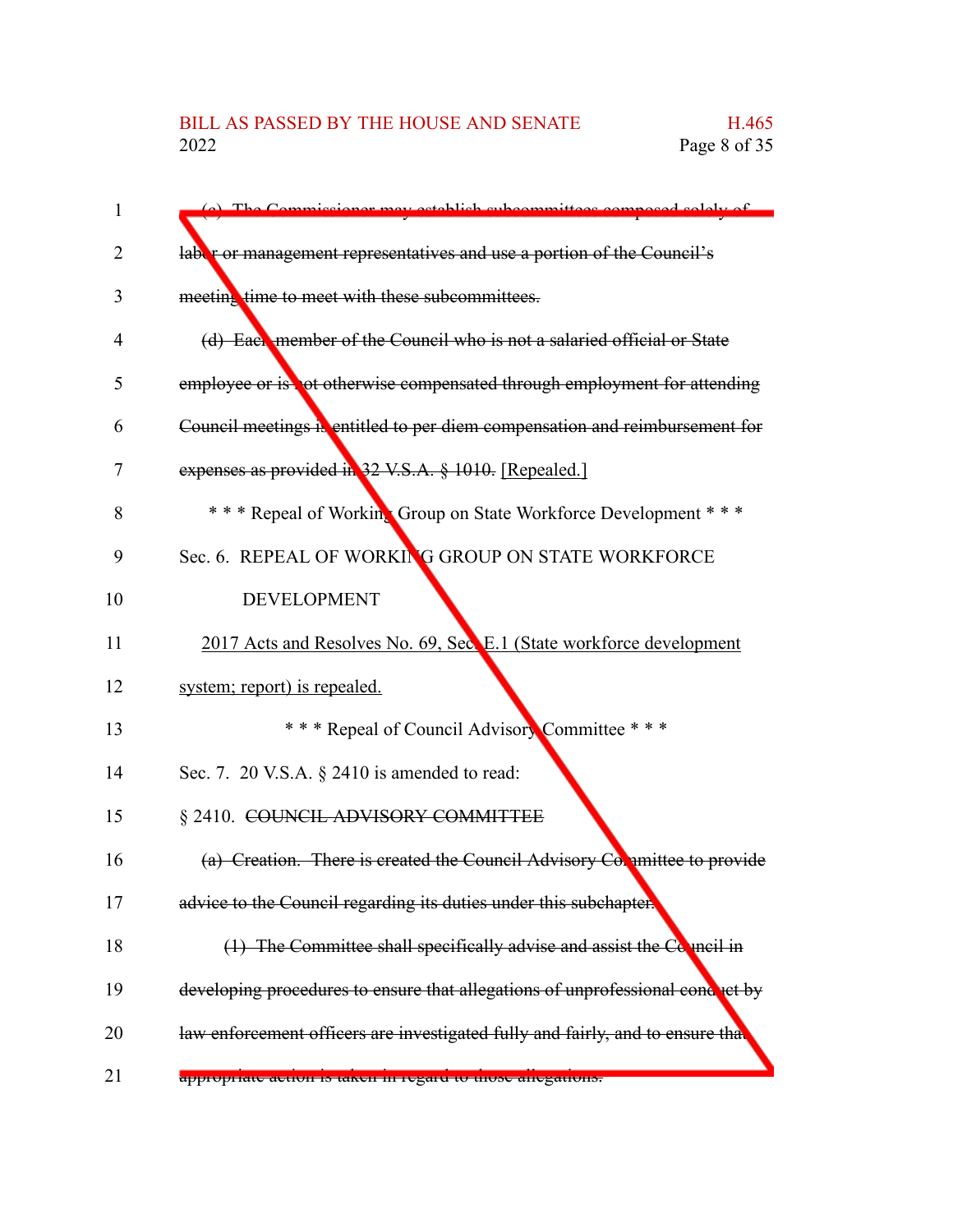# BILL AS PASSED BY THE HOUSE AND SENATE H.465<br>2022 Page 8 of 35

| 1  | (c) The Commissioner may establish subcommittees composed solely of            |
|----|--------------------------------------------------------------------------------|
| 2  | labor or management representatives and use a portion of the Council's         |
| 3  | meeting time to meet with these subcommittees.                                 |
| 4  | (d) Each member of the Council who is not a salaried official or State         |
| 5  | employee or is not otherwise compensated through employment for attending      |
| 6  | Council meetings is entitled to per diem compensation and reimbursement for    |
| 7  | expenses as provided in 32 V.S.A. § 1010. [Repealed.]                          |
| 8  | * * * Repeal of Working Group on State Workforce Development * * *             |
| 9  | Sec. 6. REPEAL OF WORKING GROUP ON STATE WORKFORCE                             |
| 10 | <b>DEVELOPMENT</b>                                                             |
| 11 | 2017 Acts and Resolves No. 69, Sec. E.1 (State workforce development           |
| 12 | system; report) is repealed.                                                   |
| 13 | *** Repeal of Council Advisory Committee ***                                   |
| 14 | Sec. 7. 20 V.S.A. § 2410 is amended to read:                                   |
| 15 | § 2410. COUNCIL ADVISORY COMMITTEE                                             |
| 16 | (a) Creation. There is created the Council Advisory Committee to provide       |
| 17 | advice to the Council regarding its duties under this subchapter.              |
| 18 | $(1)$ The Committee shall specifically advise and assist the Conneil in        |
| 19 | developing procedures to ensure that allegations of unprofessional conduct by  |
| 20 | law enforcement officers are investigated fully and fairly, and to ensure that |
| 21 | appropriate action is taken in regard to those anegations.                     |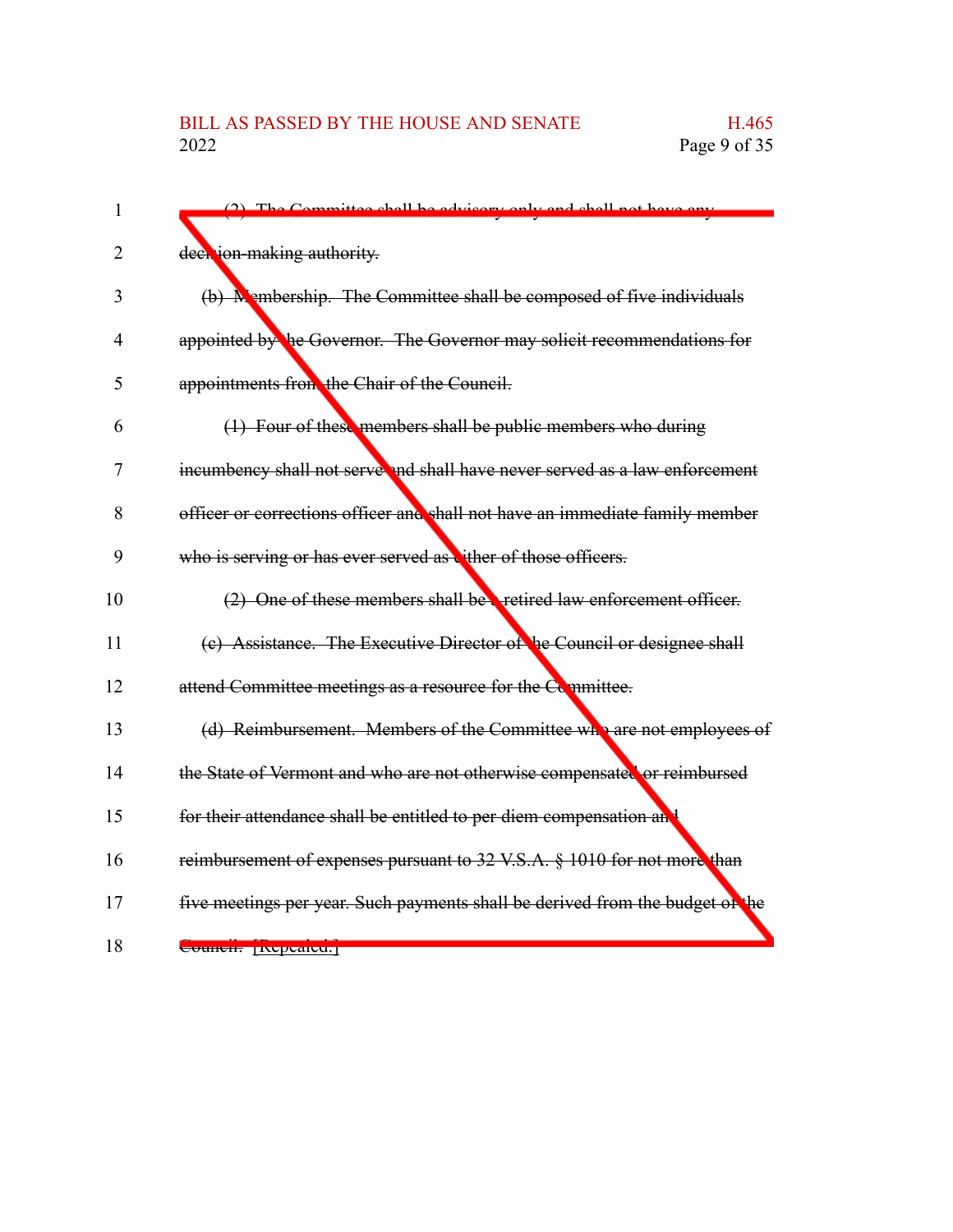| 1  | The Committee shall be advisory only and shall not have any                   |
|----|-------------------------------------------------------------------------------|
| 2  | deer jon-making authority.                                                    |
| 3  | (b) Membership. The Committee shall be composed of five individuals           |
| 4  | appointed by the Governor. The Governor may solicit recommendations for       |
| 5  | appointments from the Chair of the Council.                                   |
| 6  | (1) Four of these members shall be public members who during                  |
| 7  | incumbency shall not serve and shall have never served as a law enforcement   |
| 8  | officer or corrections officer and shall not have an immediate family member  |
| 9  | who is serving or has ever served as vither of those officers.                |
| 10 | (2) One of these members shall be retired law enforcement officer.            |
| 11 | (c) Assistance. The Executive Director of he Council or designee shall        |
| 12 | attend Committee meetings as a resource for the Committee.                    |
| 13 | (d) Reimbursement. Members of the Committee who are not employees of          |
| 14 | the State of Vermont and who are not otherwise compensated or reimbursed      |
| 15 | for their attendance shall be entitled to per diem compensation an            |
| 16 | reimbursement of expenses pursuant to 32 V.S.A. § 1010 for not more than      |
| 17 | five meetings per year. Such payments shall be derived from the budget of the |
| 18 | Councir Inepeared.                                                            |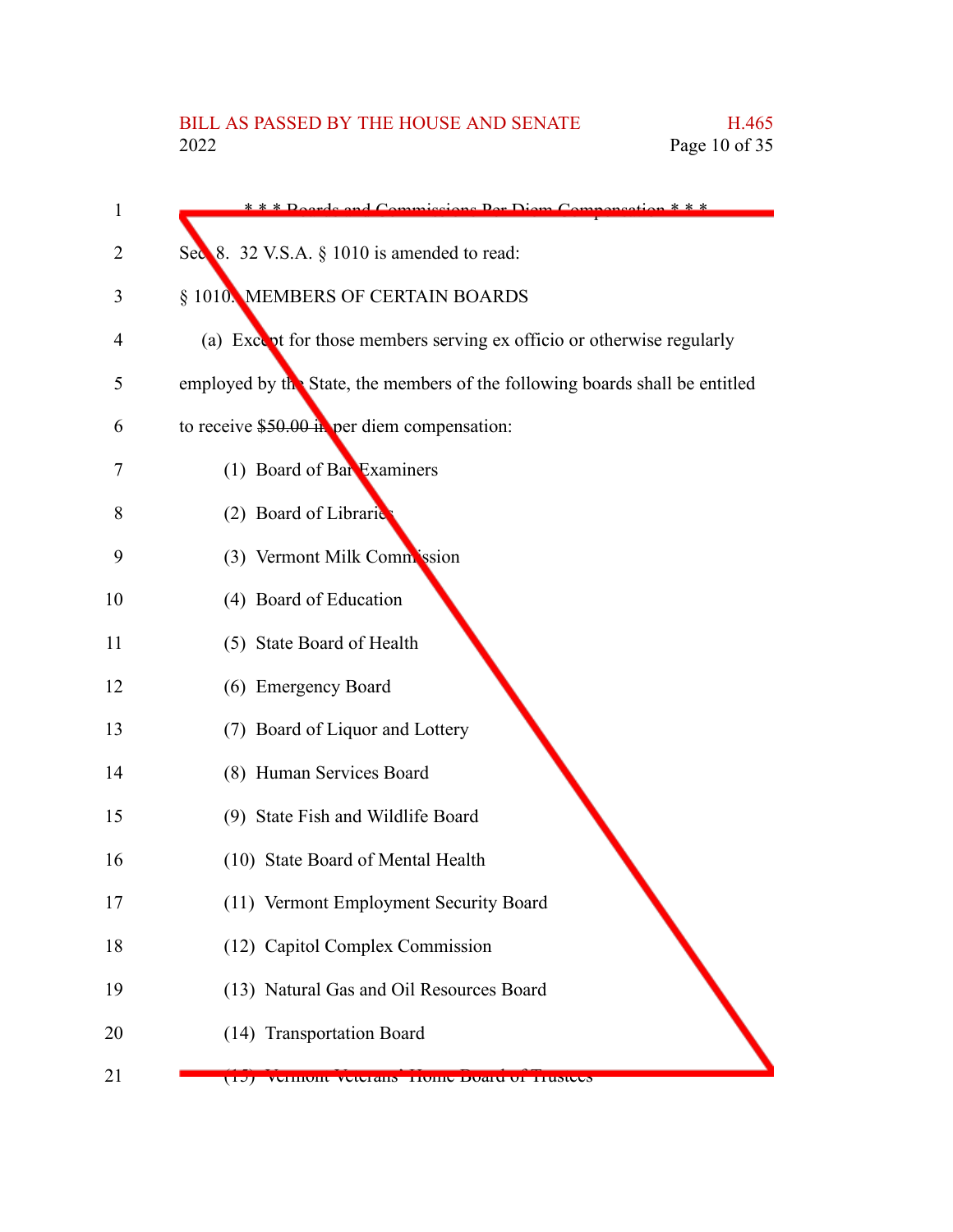| 1  | * * * Roards and Commissions Der Diem Compensation * * *                     |
|----|------------------------------------------------------------------------------|
| 2  | Sec 8. 32 V.S.A. § 1010 is amended to read:                                  |
| 3  | § 1010. MEMBERS OF CERTAIN BOARDS                                            |
| 4  | (a) Except for those members serving ex officio or otherwise regularly       |
| 5  | employed by the State, the members of the following boards shall be entitled |
| 6  | to receive $$50.00$ in per diem compensation:                                |
| 7  | (1) Board of Bar Examiners                                                   |
| 8  | (2) Board of Libraric                                                        |
| 9  | (3) Vermont Milk Commission                                                  |
| 10 | (4) Board of Education                                                       |
| 11 | (5) State Board of Health                                                    |
| 12 | (6) Emergency Board                                                          |
| 13 | (7) Board of Liquor and Lottery                                              |
| 14 | (8) Human Services Board                                                     |
| 15 | (9) State Fish and Wildlife Board                                            |
| 16 | (10) State Board of Mental Health                                            |
| 17 | (11) Vermont Employment Security Board                                       |
| 18 | (12) Capitol Complex Commission                                              |
| 19 | (13) Natural Gas and Oil Resources Board                                     |
| 20 | (14) Transportation Board                                                    |
| 21 | (17) Vermont veteralis Tronic Doard of Trustees                              |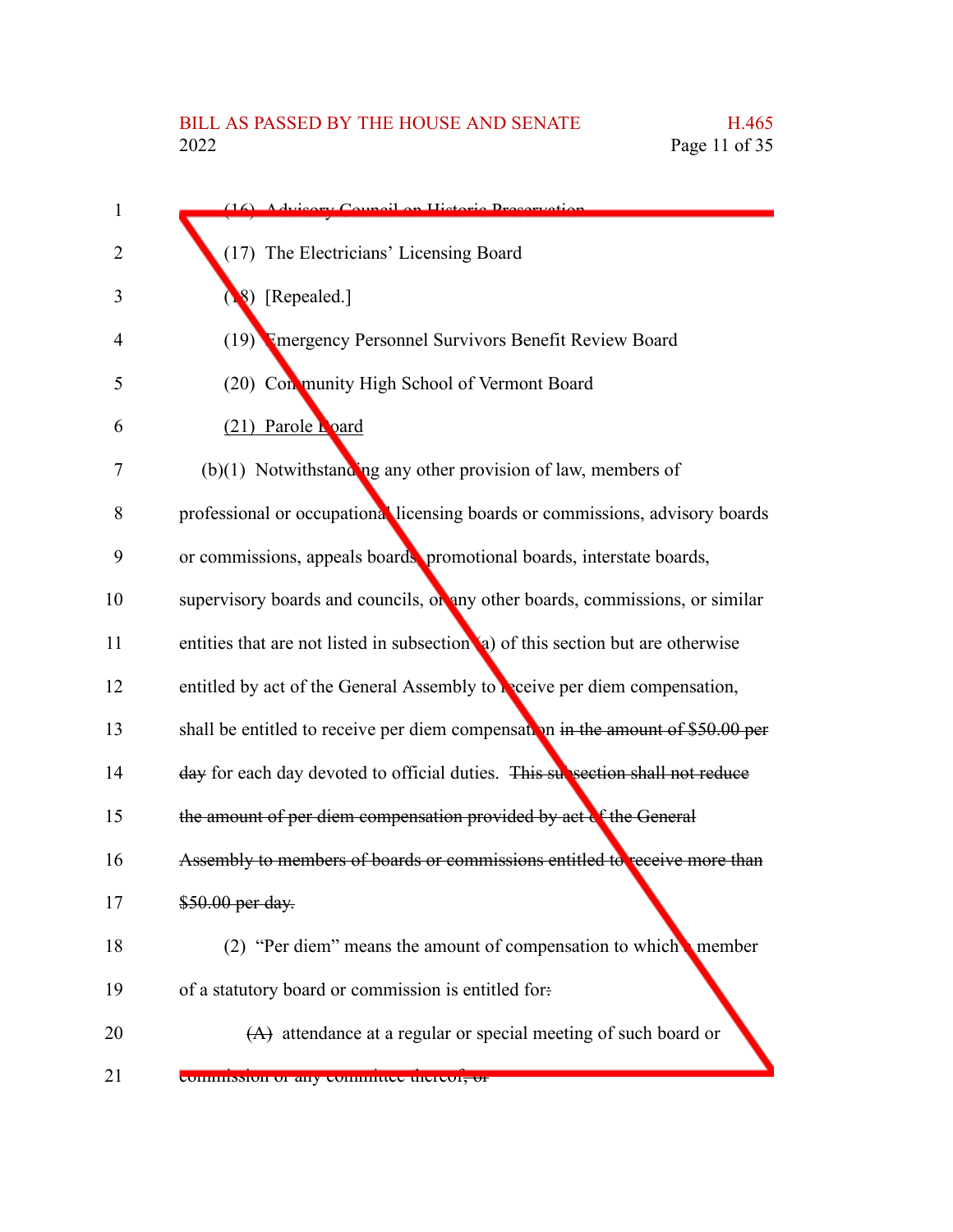| $\mathbf{1}$ | (16) Advisory Council on Historic Preservation                                   |
|--------------|----------------------------------------------------------------------------------|
| 2            | (17) The Electricians' Licensing Board                                           |
| 3            | 8) [Repealed.]                                                                   |
| 4            | (19) Tmergency Personnel Survivors Benefit Review Board                          |
| 5            | (20) Con munity High School of Vermont Board                                     |
| 6            | (21) Parole hoard                                                                |
| 7            | $(b)(1)$ Notwithstanding any other provision of law, members of                  |
| 8            | professional or occupational licensing boards or commissions, advisory boards    |
| 9            | or commissions, appeals boards, promotional boards, interstate boards,           |
| 10           | supervisory boards and councils, or any other boards, commissions, or similar    |
| 11           | entities that are not listed in subsection (a) of this section but are otherwise |
| 12           | entitled by act of the General Assembly to be eive per diem compensation,        |
| 13           | shall be entitled to receive per diem compensation in the amount of \$50.00 per  |
| 14           | day for each day devoted to official duties. This subsection shall not reduce    |
| 15           | the amount of per diem compensation provided by act of the General               |
| 16           | Assembly to members of boards or commissions entitled to receive more than       |
| 17           | \$50.00 per day.                                                                 |
| 18           | (2) "Per diem" means the amount of compensation to which member                  |
| 19           | of a statutory board or commission is entitled for-                              |
| 20           | $(A)$ attendance at a regular or special meeting of such board or                |
| 21           | commission of any committee thereor, or                                          |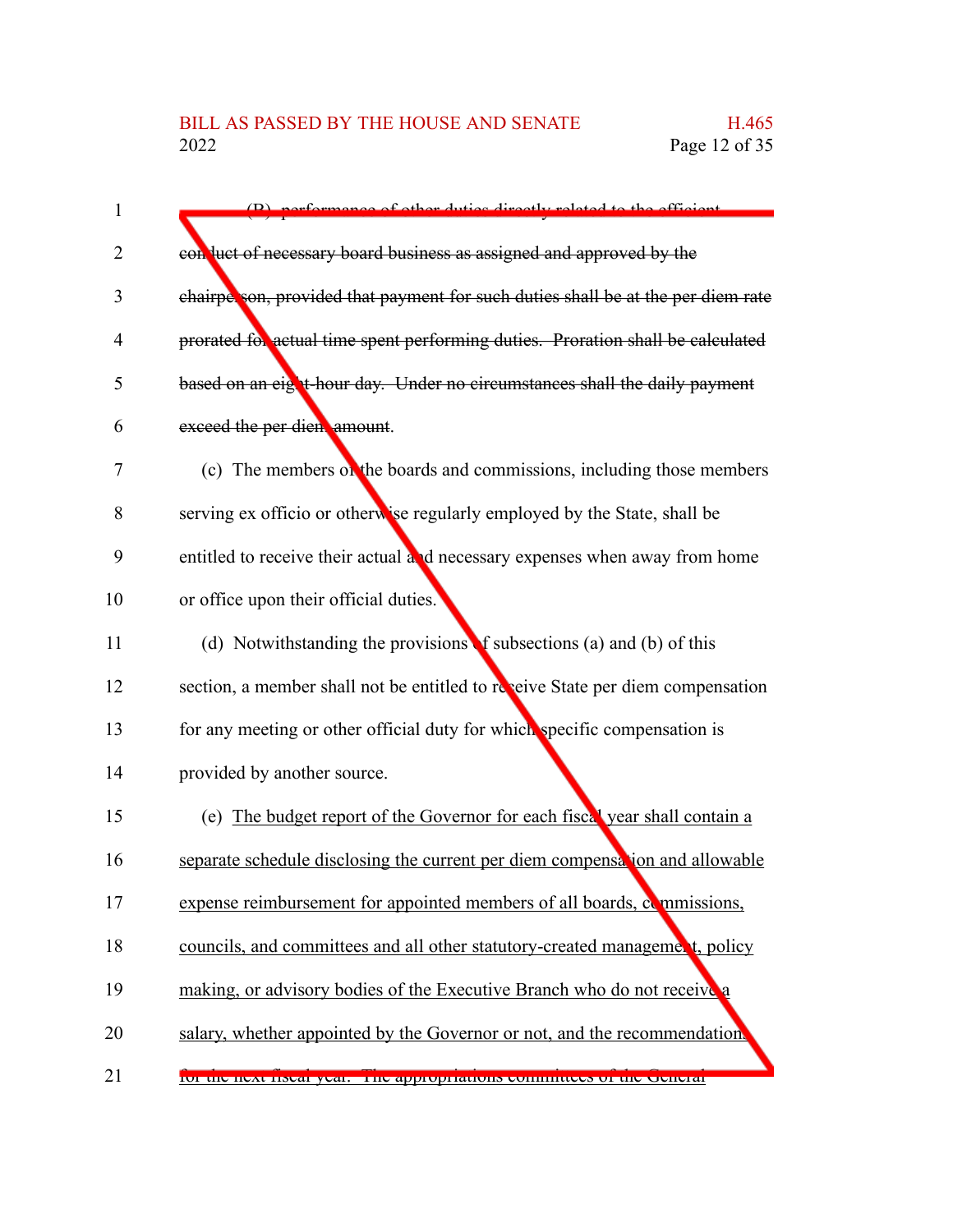| 1  | (B) performance of other duties directly related to the efficient                |
|----|----------------------------------------------------------------------------------|
| 2  | con luct of necessary board business as assigned and approved by the             |
| 3  | chairperson, provided that payment for such duties shall be at the per diem rate |
| 4  | prorated for actual time spent performing duties. Proration shall be calculated  |
| 5  | based on an eight-hour day. Under no circumstances shall the daily payment       |
| 6  | exceed the per dien amount.                                                      |
| 7  | (c) The members on the boards and commissions, including those members           |
| 8  | serving ex officio or otherwise regularly employed by the State, shall be        |
| 9  | entitled to receive their actual and necessary expenses when away from home      |
| 10 | or office upon their official duties.                                            |
| 11 | (d) Notwithstanding the provisions f subsections (a) and (b) of this             |
| 12 | section, a member shall not be entitled to reveive State per diem compensation   |
| 13 | for any meeting or other official duty for which specific compensation is        |
| 14 | provided by another source.                                                      |
| 15 | (e) The budget report of the Governor for each fiscal year shall contain a       |
| 16 | separate schedule disclosing the current per diem compensation and allowable     |
| 17 | expense reimbursement for appointed members of all boards, examplesions,         |
| 18 | councils, and committees and all other statutory-created management, policy      |
| 19 | making, or advisory bodies of the Executive Branch who do not receive a          |
| 20 | salary, whether appointed by the Governor or not, and the recommendation.        |
| 21 | 101 the flext fiscal year. The appropriations committees of the Ocherar          |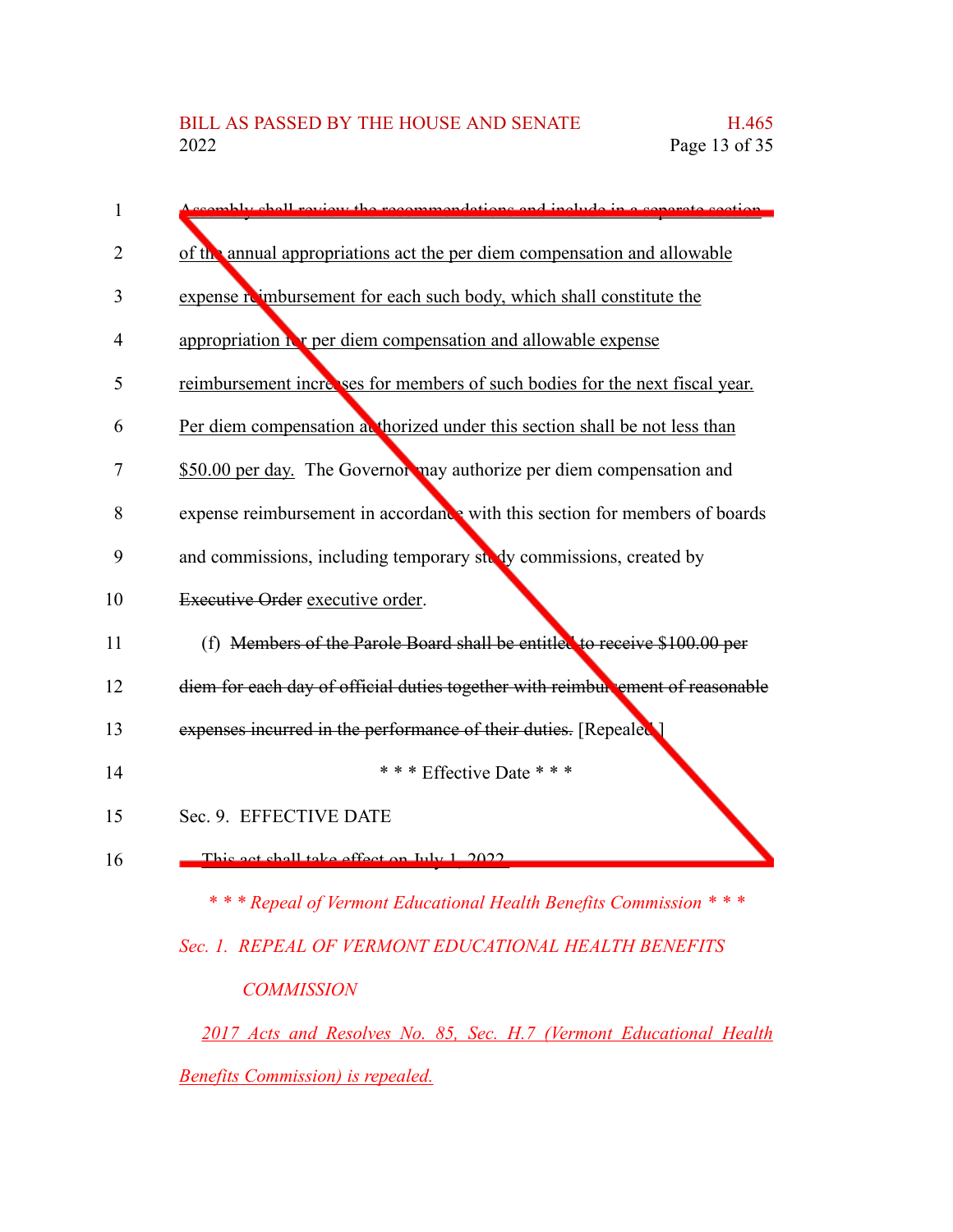| 1              | comply shall review the recommendations and include in a separate section      |
|----------------|--------------------------------------------------------------------------------|
| 2              | of the annual appropriations act the per diem compensation and allowable       |
| 3              | expense reimbursement for each such body, which shall constitute the           |
| $\overline{4}$ | appropriation it is per diem compensation and allowable expense                |
| 5              | reimbursement increases for members of such bodies for the next fiscal year.   |
| 6              | Per diem compensation at thorized under this section shall be not less than    |
| 7              | \$50.00 per day. The Governor may authorize per diem compensation and          |
| 8              | expense reimbursement in accordance with this section for members of boards    |
| 9              | and commissions, including temporary study commissions, created by             |
| 10             | Executive Order executive order.                                               |
| 11             | (f) Members of the Parole Board shall be entitled to receive \$100.00 per      |
| 12             | diem for each day of official duties together with reimbul ement of reasonable |
| 13             | expenses incurred in the performance of their duties. [Repealed ]              |
| 14             | *** Effective Date ***                                                         |
| 15             | Sec. 9. EFFECTIVE DATE                                                         |
| 16             | This act shall take effect on July 1 2022                                      |
|                | *** Repeal of Vermont Educational Health Benefits Commission ***               |

### *Sec. 1. REPEAL OF VERMONT EDUCATIONAL HEALTH BENEFITS COMMISSION*

*2017 Acts and Resolves No. 85, Sec. H.7 (Vermont Educational Health Benefits Commission) is repealed.*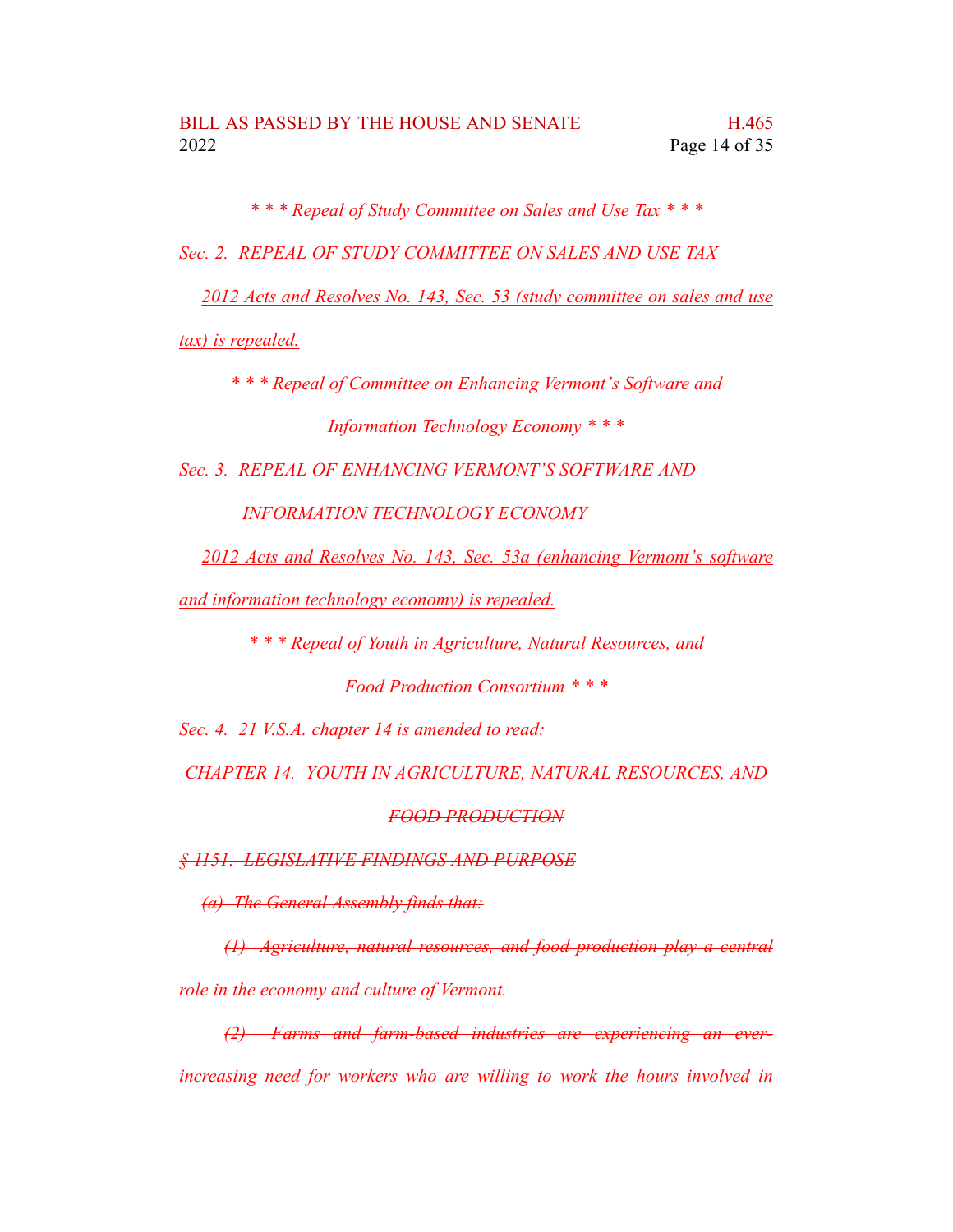*\* \* \* Repeal of Study Committee on Sales and Use Tax \* \* \**

*Sec. 2. REPEAL OF STUDY COMMITTEE ON SALES AND USE TAX*

*2012 Acts and Resolves No. 143, Sec. 53 (study committee on sales and use*

*tax) is repealed.*

*\* \* \* Repeal of Committee on Enhancing Vermont's Software and Information Technology Economy \* \* \**

*Sec. 3. REPEAL OF ENHANCING VERMONT'S SOFTWARE AND*

*INFORMATION TECHNOLOGY ECONOMY*

*2012 Acts and Resolves No. 143, Sec. 53a (enhancing Vermont's software*

*and information technology economy) is repealed.*

*\* \* \* Repeal of Youth in Agriculture, Natural Resources, and*

*Food Production Consortium \* \* \**

*Sec. 4. 21 V.S.A. chapter 14 is amended to read:*

*CHAPTER 14. YOUTH IN AGRICULTURE, NATURAL RESOURCES, AND*

#### *FOOD PRODUCTION*

*§ 1151. LEGISLATIVE FINDINGS AND PURPOSE*

*(a) The General Assembly finds that:*

*(1) Agriculture, natural resources, and food production play a central role in the economy and culture of Vermont.*

*(2) Farms and farm-based industries are experiencing an everincreasing need for workers who are willing to work the hours involved in*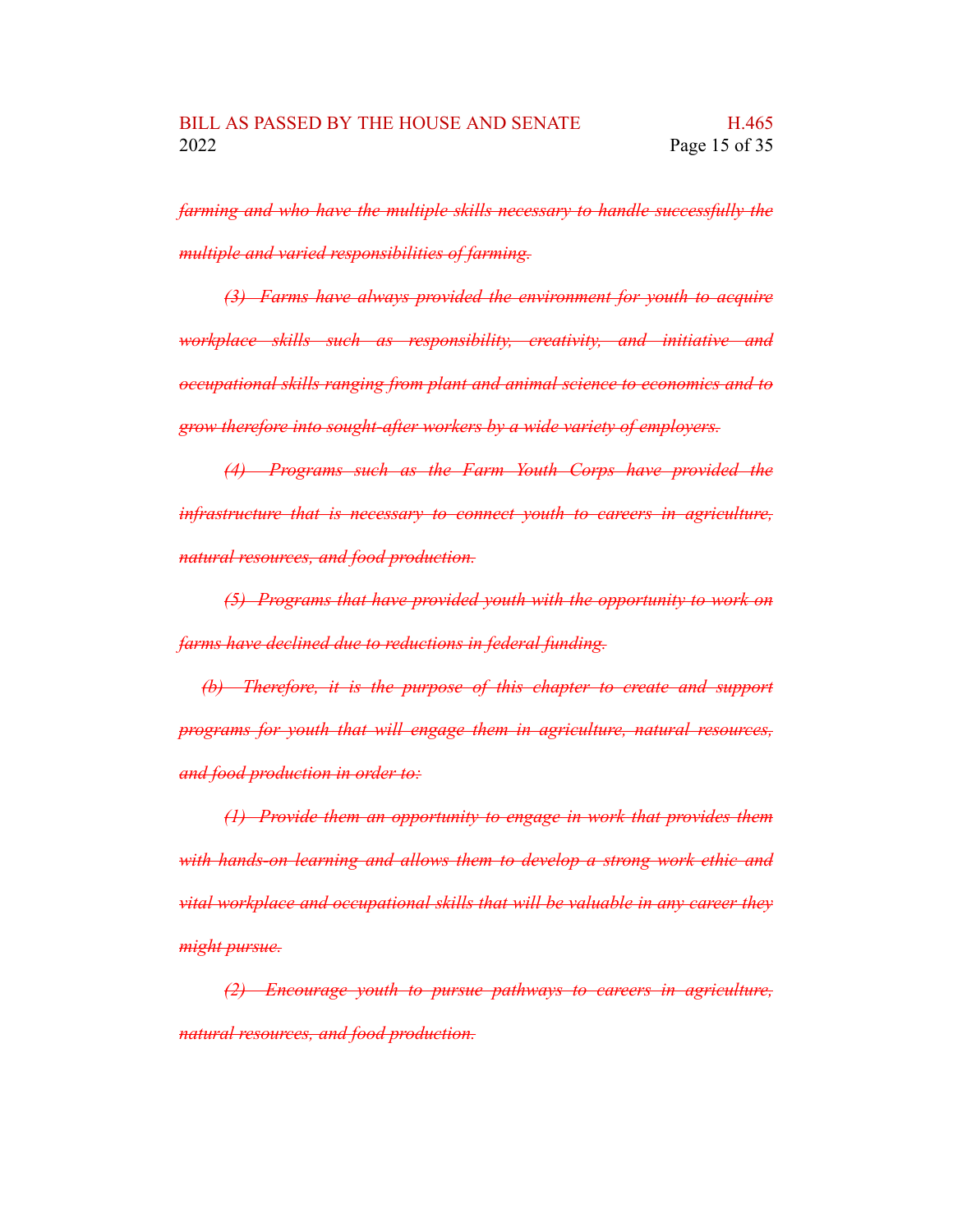*farming and who have the multiple skills necessary to handle successfully the multiple and varied responsibilities of farming.*

*(3) Farms have always provided the environment for youth to acquire workplace skills such as responsibility, creativity, and initiative and occupational skills ranging from plant and animal science to economics and to grow therefore into sought-after workers by a wide variety of employers.*

*(4) Programs such as the Farm Youth Corps have provided the infrastructure that is necessary to connect youth to careers in agriculture, natural resources, and food production.*

*(5) Programs that have provided youth with the opportunity to work on farms have declined due to reductions in federal funding.*

*(b) Therefore, it is the purpose of this chapter to create and support programs for youth that will engage them in agriculture, natural resources, and food production in order to:*

*(1) Provide them an opportunity to engage in work that provides them with hands-on learning and allows them to develop a strong work ethic and vital workplace and occupational skills that will be valuable in any career they might pursue.*

*(2) Encourage youth to pursue pathways to careers in agriculture, natural resources, and food production.*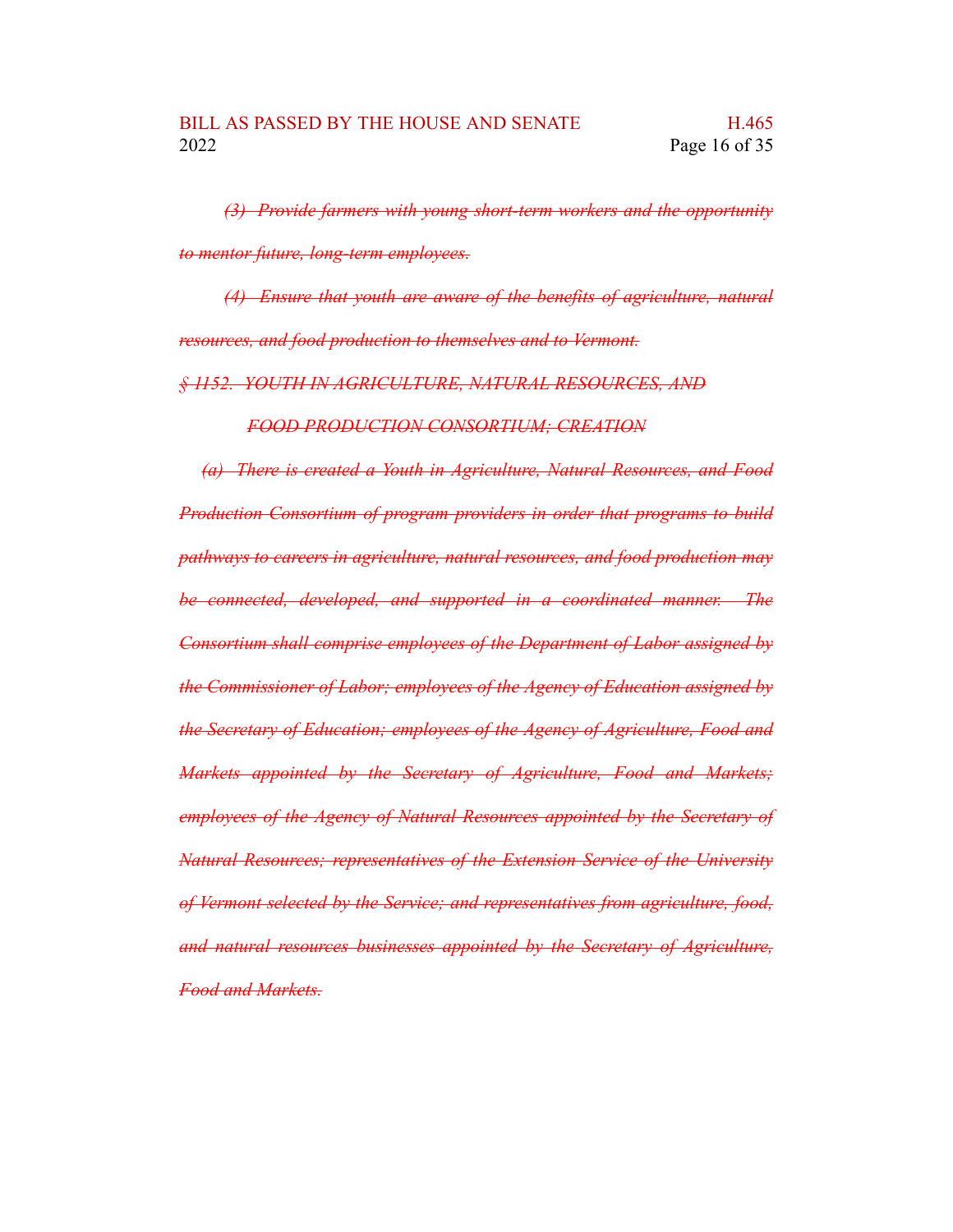*(3) Provide farmers with young short-term workers and the opportunity to mentor future, long-term employees.*

*(4) Ensure that youth are aware of the benefits of agriculture, natural resources, and food production to themselves and to Vermont.*

*§ 1152. YOUTH IN AGRICULTURE, NATURAL RESOURCES, AND*

*FOOD PRODUCTION CONSORTIUM; CREATION*

*(a) There is created a Youth in Agriculture, Natural Resources, and Food Production Consortium of program providers in order that programs to build pathways to careers in agriculture, natural resources, and food production may be connected, developed, and supported in a coordinated manner. The Consortium shall comprise employees of the Department of Labor assigned by the Commissioner of Labor; employees of the Agency of Education assigned by the Secretary of Education; employees of the Agency of Agriculture, Food and Markets appointed by the Secretary of Agriculture, Food and Markets; employees of the Agency of Natural Resources appointed by the Secretary of Natural Resources; representatives of the Extension Service of the University of Vermont selected by the Service; and representatives from agriculture, food, and natural resources businesses appointed by the Secretary of Agriculture, Food and Markets.*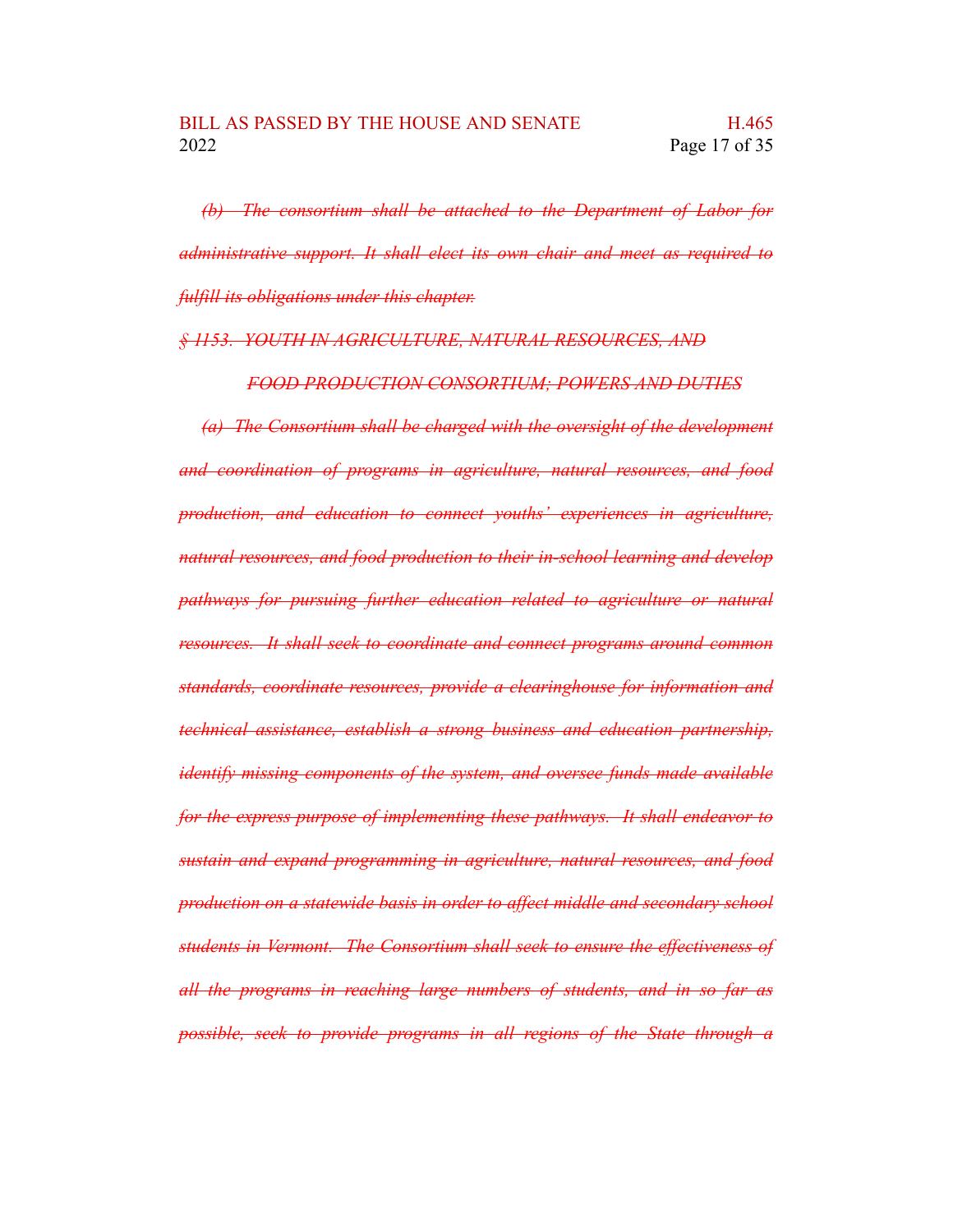*(b) The consortium shall be attached to the Department of Labor for administrative support. It shall elect its own chair and meet as required to fulfill its obligations under this chapter.*

#### *§ 1153. YOUTH IN AGRICULTURE, NATURAL RESOURCES, AND*

*FOOD PRODUCTION CONSORTIUM; POWERS AND DUTIES*

*(a) The Consortium shall be charged with the oversight of the development and coordination of programs in agriculture, natural resources, and food production, and education to connect youths' experiences in agriculture, natural resources, and food production to their in-school learning and develop pathways for pursuing further education related to agriculture or natural resources. It shall seek to coordinate and connect programs around common standards, coordinate resources, provide a clearinghouse for information and technical assistance, establish a strong business and education partnership, identify missing components of the system, and oversee funds made available for the express purpose of implementing these pathways. It shall endeavor to sustain and expand programming in agriculture, natural resources, and food production on a statewide basis in order to affect middle and secondary school students in Vermont. The Consortium shall seek to ensure the effectiveness of all the programs in reaching large numbers of students, and in so far as possible, seek to provide programs in all regions of the State through a*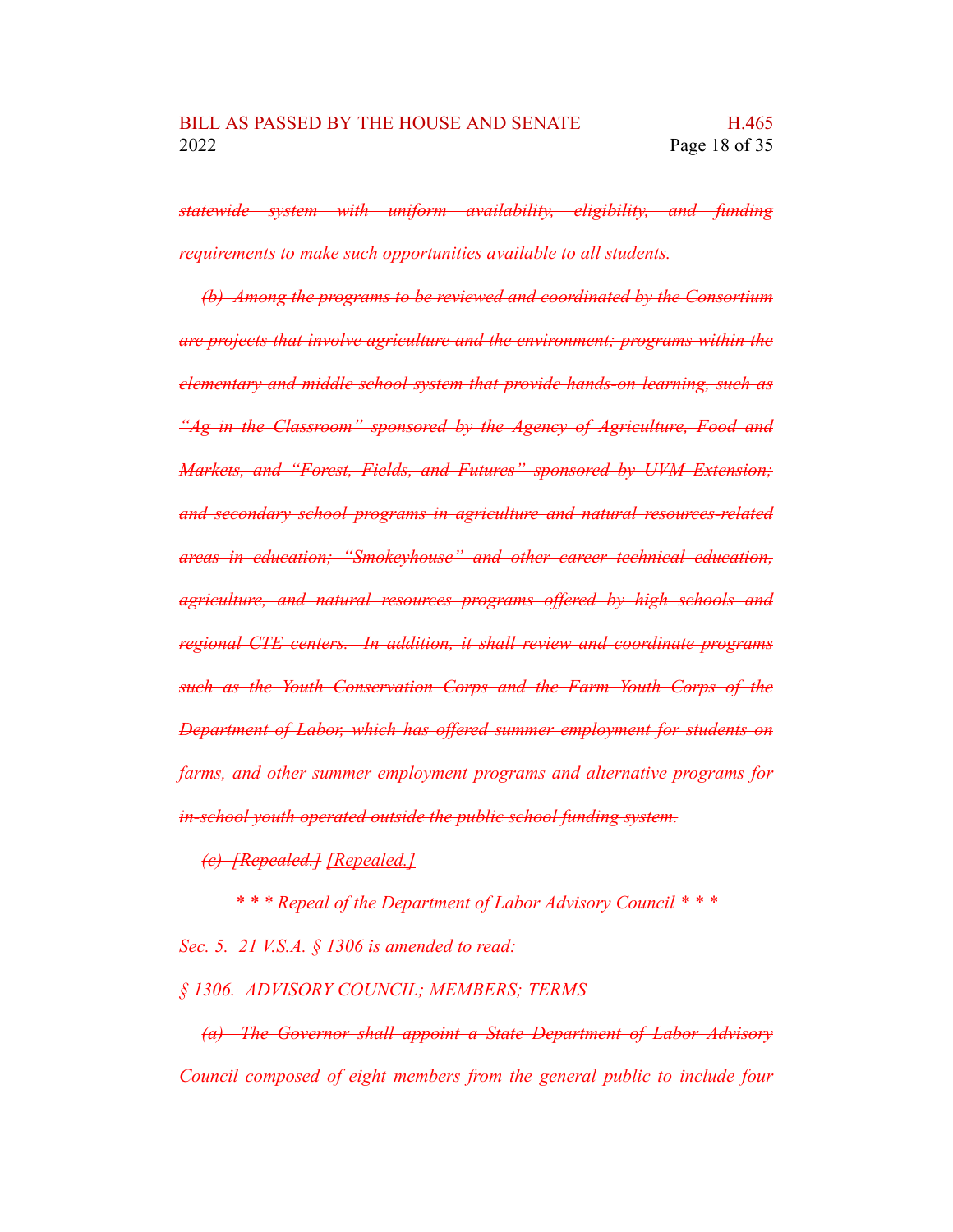*statewide system with uniform availability, eligibility, and funding requirements to make such opportunities available to all students.*

*(b) Among the programs to be reviewed and coordinated by the Consortium are projects that involve agriculture and the environment; programs within the elementary and middle school system that provide hands-on learning, such as "Ag in the Classroom" sponsored by the Agency of Agriculture, Food and Markets, and "Forest, Fields, and Futures" sponsored by UVM Extension; and secondary school programs in agriculture and natural resources-related areas in education; "Smokeyhouse" and other career technical education, agriculture, and natural resources programs offered by high schools and regional CTE centers. In addition, it shall review and coordinate programs such as the Youth Conservation Corps and the Farm Youth Corps of the Department of Labor, which has offered summer employment for students on farms, and other summer employment programs and alternative programs for in-school youth operated outside the public school funding system.*

*(c) [Repealed.] [Repealed.]*

*\* \* \* Repeal of the Department of Labor Advisory Council \* \* \**

*Sec. 5. 21 V.S.A. § 1306 is amended to read:*

*§ 1306. ADVISORY COUNCIL; MEMBERS; TERMS*

*(a) The Governor shall appoint a State Department of Labor Advisory Council composed of eight members from the general public to include four*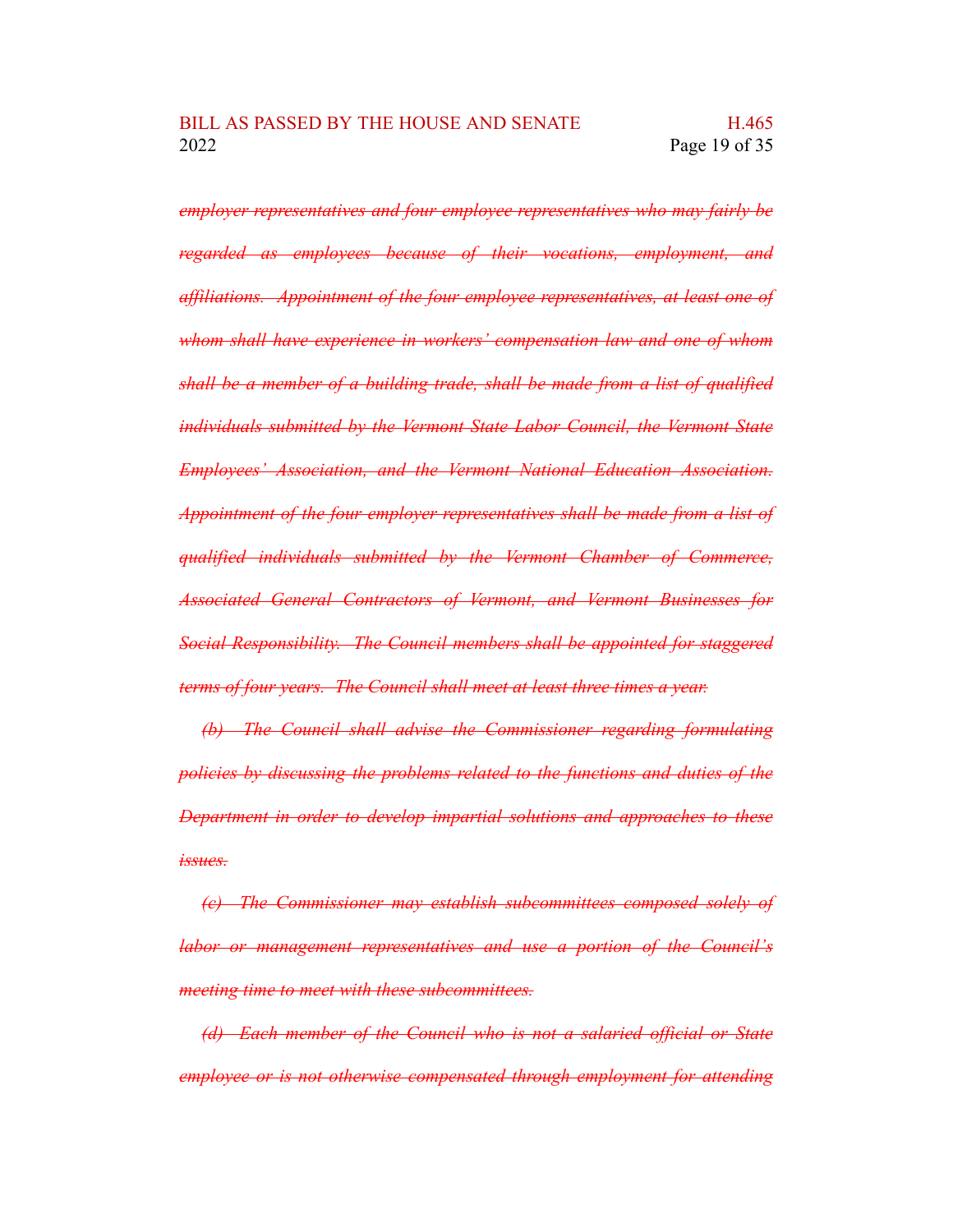*employer representatives and four employee representatives who may fairly be regarded as employees because of their vocations, employment, and affiliations. Appointment of the four employee representatives, at least one of whom shall have experience in workers' compensation law and one of whom shall be a member of a building trade, shall be made from a list of qualified individuals submitted by the Vermont State Labor Council, the Vermont State Employees' Association, and the Vermont National Education Association. Appointment of the four employer representatives shall be made from a list of qualified individuals submitted by the Vermont Chamber of Commerce, Associated General Contractors of Vermont, and Vermont Businesses for Social Responsibility. The Council members shall be appointed for staggered terms of four years. The Council shall meet at least three times a year.*

*(b) The Council shall advise the Commissioner regarding formulating policies by discussing the problems related to the functions and duties of the Department in order to develop impartial solutions and approaches to these issues.*

*(c) The Commissioner may establish subcommittees composed solely of labor or management representatives and use a portion of the Council's meeting time to meet with these subcommittees.*

*(d) Each member of the Council who is not a salaried official or State employee or is not otherwise compensated through employment for attending*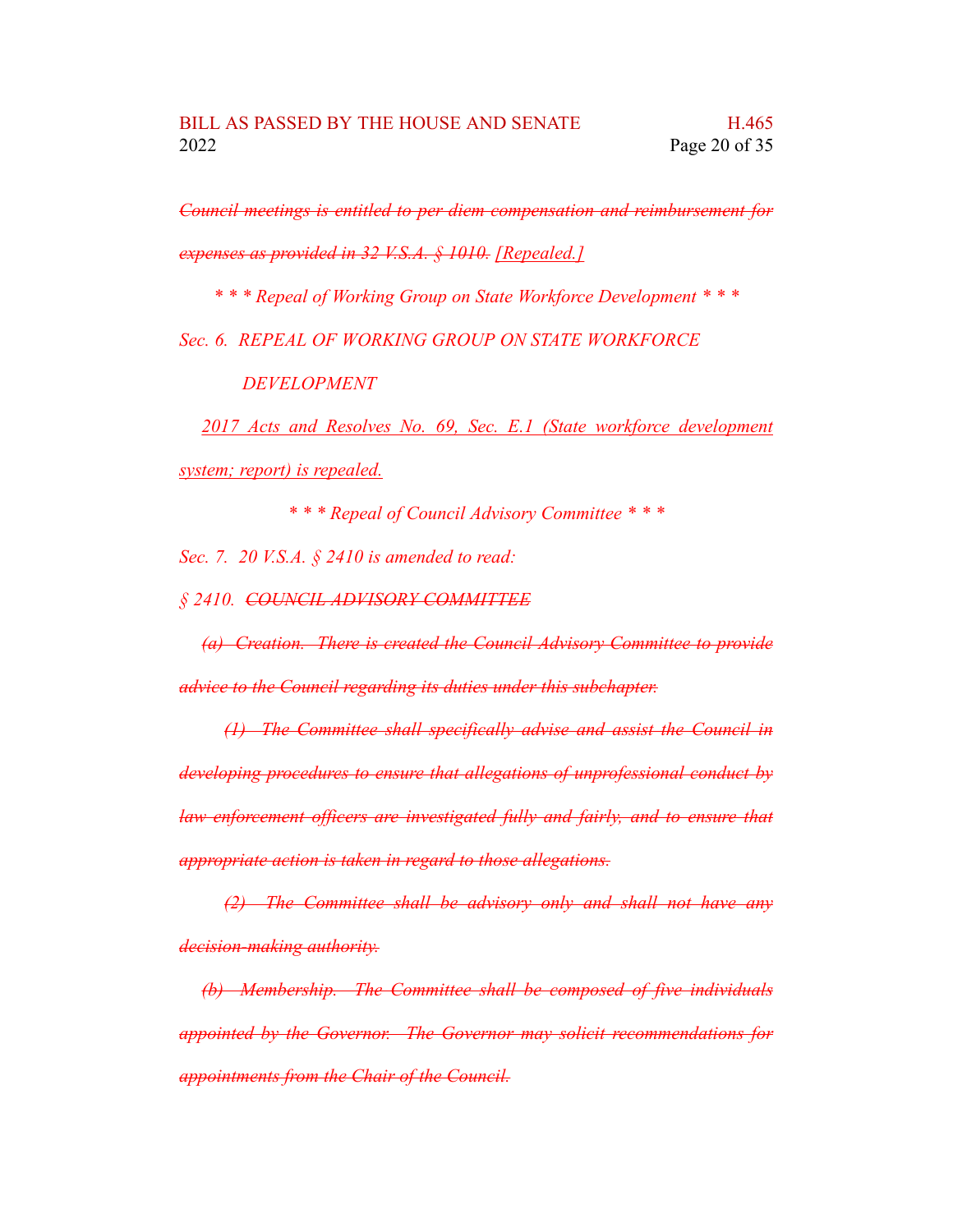*Council meetings is entitled to per diem compensation and reimbursement for expenses as provided in 32 V.S.A. § 1010. [Repealed.]*

*\* \* \* Repeal of Working Group on State Workforce Development \* \* \**

*Sec. 6. REPEAL OF WORKING GROUP ON STATE WORKFORCE*

*DEVELOPMENT*

*2017 Acts and Resolves No. 69, Sec. E.1 (State workforce development system; report) is repealed.*

*\* \* \* Repeal of Council Advisory Committee \* \* \**

*Sec. 7. 20 V.S.A. § 2410 is amended to read:*

*§ 2410. COUNCIL ADVISORY COMMITTEE*

*(a) Creation. There is created the Council Advisory Committee to provide advice to the Council regarding its duties under this subchapter.*

*(1) The Committee shall specifically advise and assist the Council in developing procedures to ensure that allegations of unprofessional conduct by law enforcement officers are investigated fully and fairly, and to ensure that appropriate action is taken in regard to those allegations.*

*(2) The Committee shall be advisory only and shall not have any decision-making authority.*

*(b) Membership. The Committee shall be composed of five individuals appointed by the Governor. The Governor may solicit recommendations for appointments from the Chair of the Council.*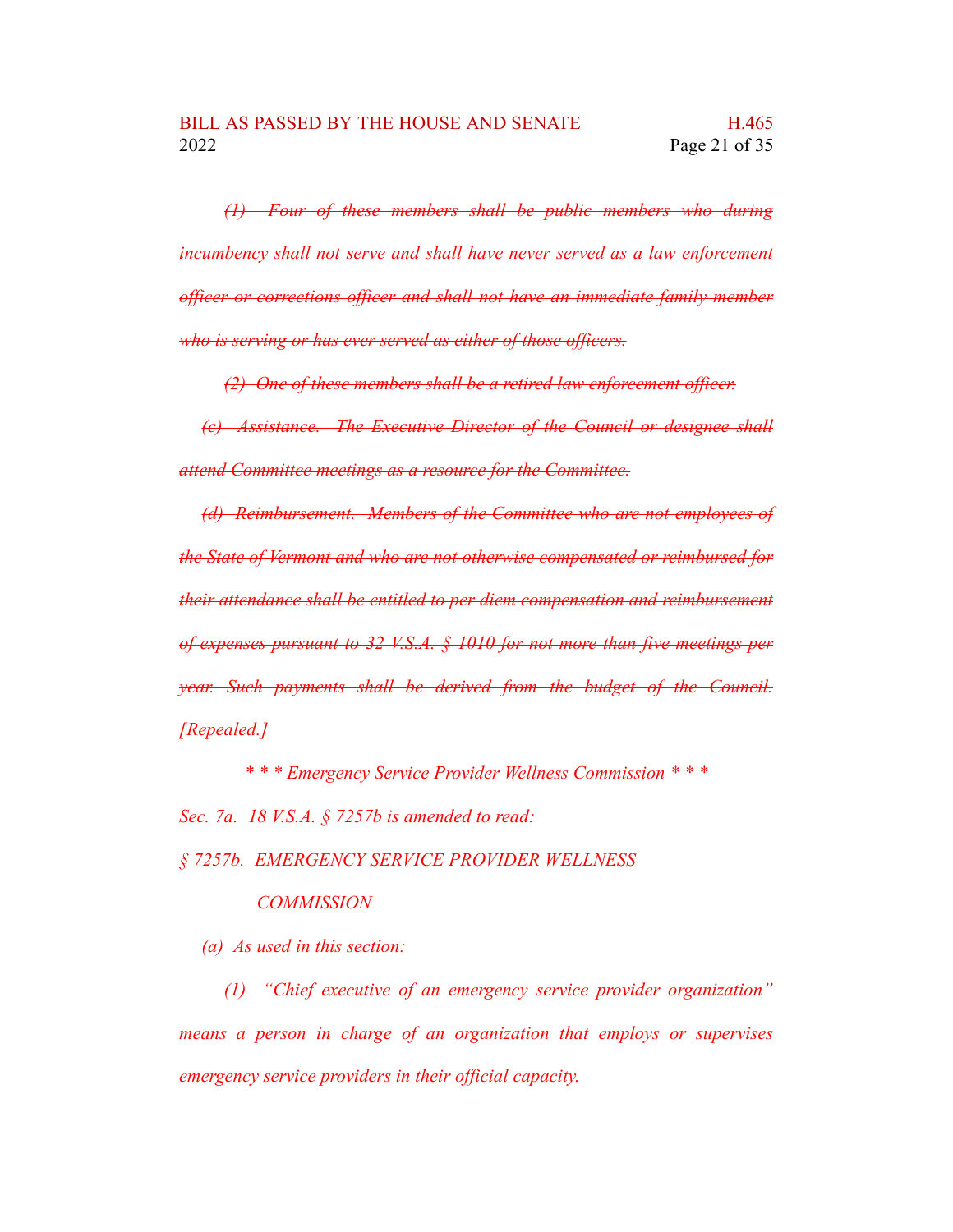*(1) Four of these members shall be public members who during incumbency shall not serve and shall have never served as a law enforcement officer or corrections officer and shall not have an immediate family member who is serving or has ever served as either of those officers.*

*(2) One of these members shall be a retired law enforcement officer.*

*(c) Assistance. The Executive Director of the Council or designee shall attend Committee meetings as a resource for the Committee.*

*(d) Reimbursement. Members of the Committee who are not employees of the State of Vermont and who are not otherwise compensated or reimbursed for their attendance shall be entitled to per diem compensation and reimbursement of expenses pursuant to 32 V.S.A. § 1010 for not more than five meetings per year. Such payments shall be derived from the budget of the Council. [Repealed.]*

*\* \* \* Emergency Service Provider Wellness Commission \* \* \**

*Sec. 7a. 18 V.S.A. § 7257b is amended to read:*

*§ 7257b. EMERGENCY SERVICE PROVIDER WELLNESS*

#### *COMMISSION*

*(a) As used in this section:*

*(1) "Chief executive of an emergency service provider organization" means a person in charge of an organization that employs or supervises emergency service providers in their official capacity.*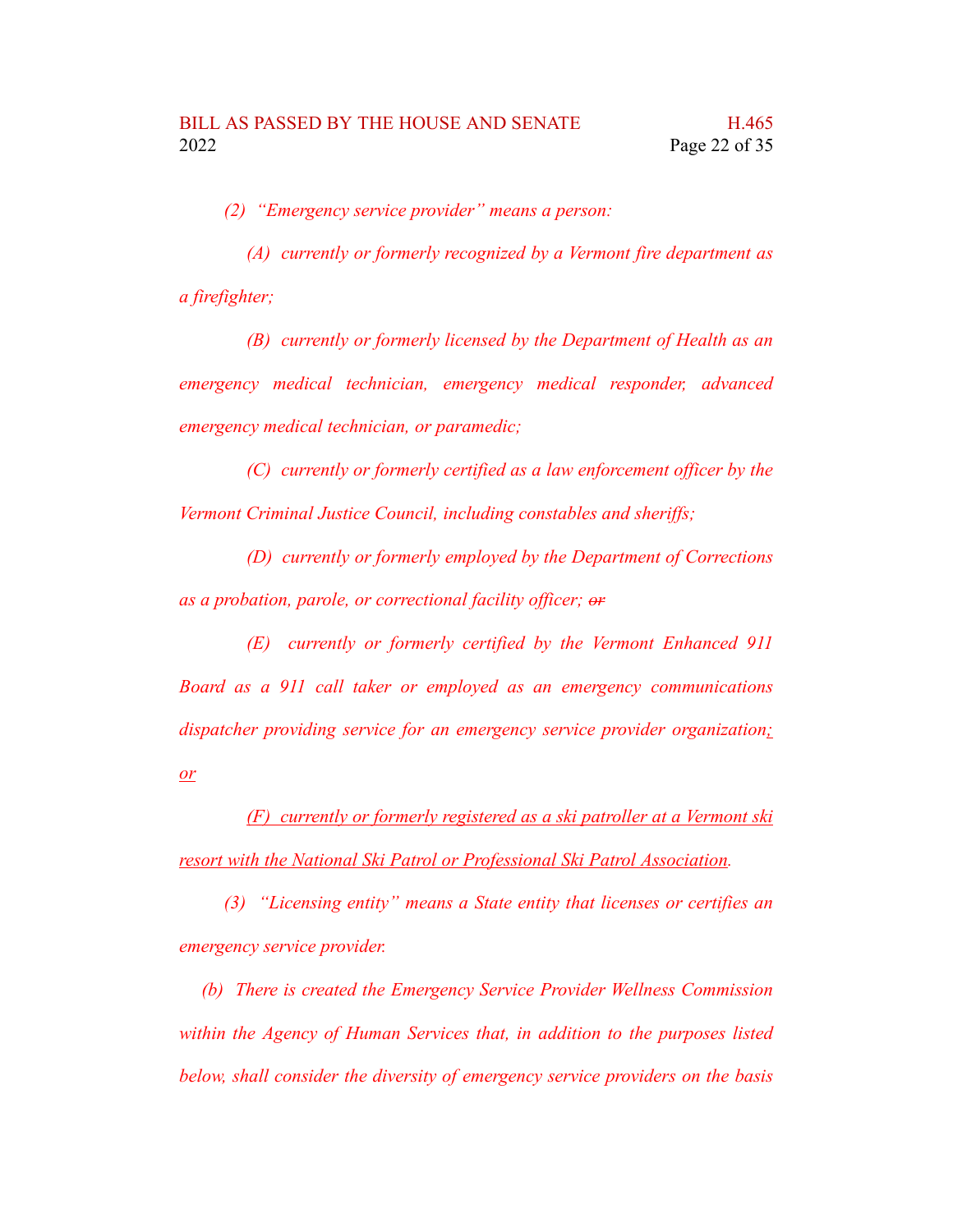*(2) "Emergency service provider" means a person:*

*(A) currently or formerly recognized by a Vermont fire department as a firefighter;*

*(B) currently or formerly licensed by the Department of Health as an emergency medical technician, emergency medical responder, advanced emergency medical technician, or paramedic;*

*(C) currently or formerly certified as a law enforcement officer by the Vermont Criminal Justice Council, including constables and sheriffs;*

*(D) currently or formerly employed by the Department of Corrections as a probation, parole, or correctional facility officer; or*

*(E) currently or formerly certified by the Vermont Enhanced 911 Board as a 911 call taker or employed as an emergency communications dispatcher providing service for an emergency service provider organization; or*

*(F) currently or formerly registered as a ski patroller at a Vermont ski resort with the National Ski Patrol or Professional Ski Patrol Association.*

*(3) "Licensing entity" means a State entity that licenses or certifies an emergency service provider.*

*(b) There is created the Emergency Service Provider Wellness Commission within the Agency of Human Services that, in addition to the purposes listed below, shall consider the diversity of emergency service providers on the basis*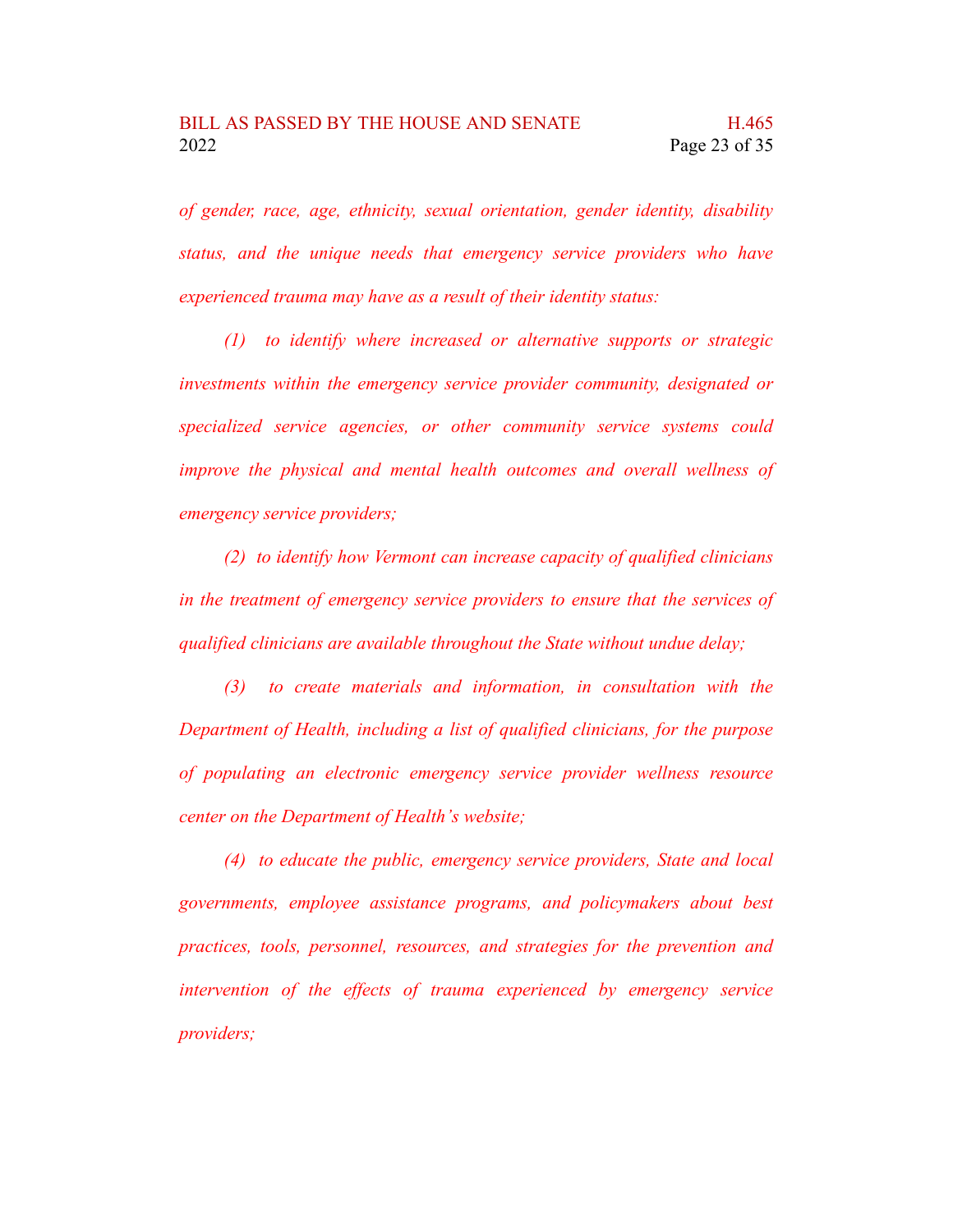*of gender, race, age, ethnicity, sexual orientation, gender identity, disability status, and the unique needs that emergency service providers who have experienced trauma may have as a result of their identity status:*

*(1) to identify where increased or alternative supports or strategic investments within the emergency service provider community, designated or specialized service agencies, or other community service systems could improve the physical and mental health outcomes and overall wellness of emergency service providers;*

*(2) to identify how Vermont can increase capacity of qualified clinicians in the treatment of emergency service providers to ensure that the services of qualified clinicians are available throughout the State without undue delay;*

*(3) to create materials and information, in consultation with the Department of Health, including a list of qualified clinicians, for the purpose of populating an electronic emergency service provider wellness resource center on the Department of Health's website;*

*(4) to educate the public, emergency service providers, State and local governments, employee assistance programs, and policymakers about best practices, tools, personnel, resources, and strategies for the prevention and intervention of the effects of trauma experienced by emergency service providers;*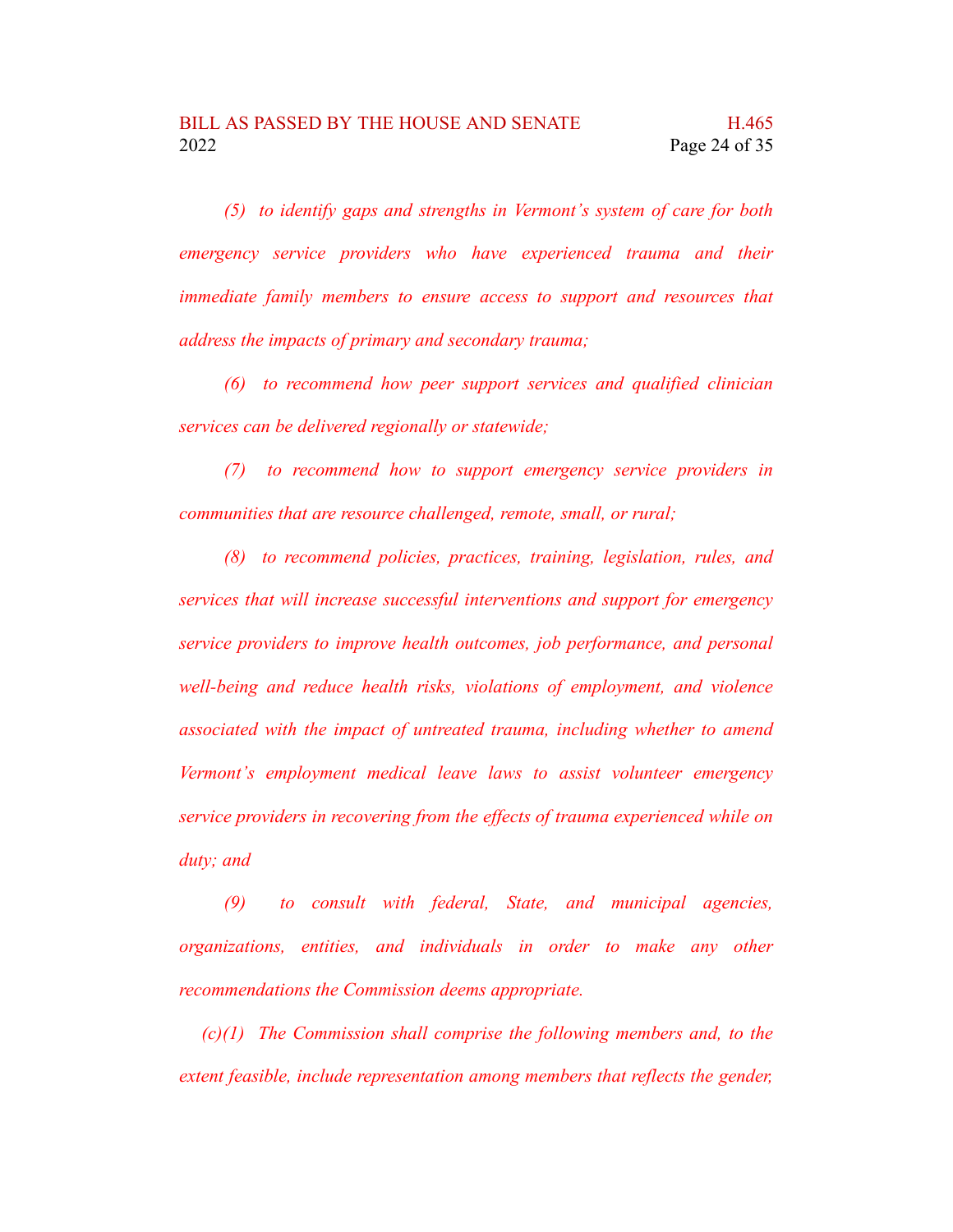*(5) to identify gaps and strengths in Vermont's system of care for both emergency service providers who have experienced trauma and their immediate family members to ensure access to support and resources that address the impacts of primary and secondary trauma;*

*(6) to recommend how peer support services and qualified clinician services can be delivered regionally or statewide;*

*(7) to recommend how to support emergency service providers in communities that are resource challenged, remote, small, or rural;*

*(8) to recommend policies, practices, training, legislation, rules, and services that will increase successful interventions and support for emergency service providers to improve health outcomes, job performance, and personal well-being and reduce health risks, violations of employment, and violence associated with the impact of untreated trauma, including whether to amend Vermont's employment medical leave laws to assist volunteer emergency service providers in recovering from the effects of trauma experienced while on duty; and*

*(9) to consult with federal, State, and municipal agencies, organizations, entities, and individuals in order to make any other recommendations the Commission deems appropriate.*

*(c)(1) The Commission shall comprise the following members and, to the extent feasible, include representation among members that reflects the gender,*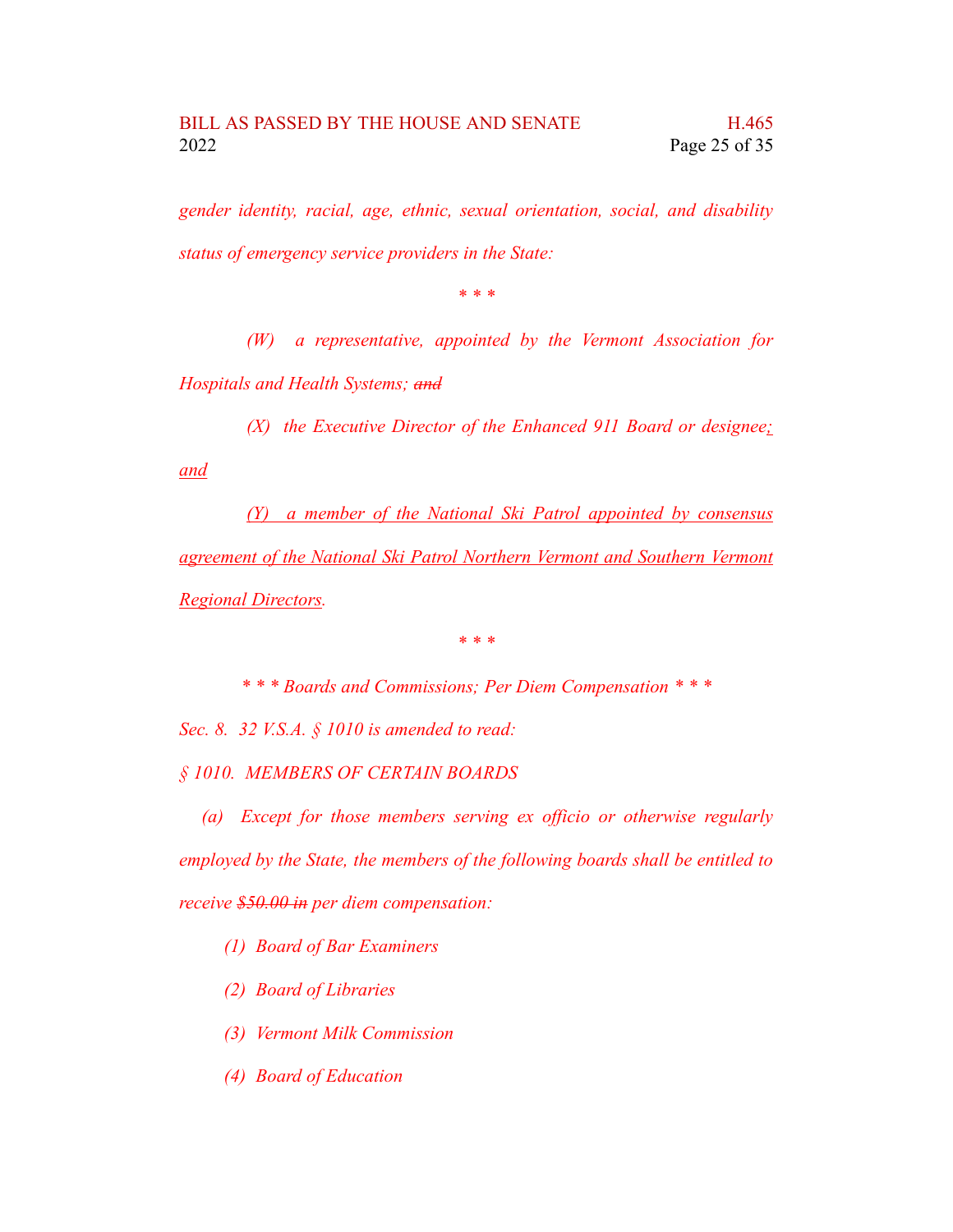*gender identity, racial, age, ethnic, sexual orientation, social, and disability status of emergency service providers in the State:*

*\* \* \**

*(W) a representative, appointed by the Vermont Association for Hospitals and Health Systems; and*

*(X) the Executive Director of the Enhanced 911 Board or designee;*

*and*

*(Y) a member of the National Ski Patrol appointed by consensus agreement of the National Ski Patrol Northern Vermont and Southern Vermont Regional Directors.*

*\* \* \**

*\* \* \* Boards and Commissions; Per Diem Compensation \* \* \**

*Sec. 8. 32 V.S.A. § 1010 is amended to read:*

*§ 1010. MEMBERS OF CERTAIN BOARDS*

*(a) Except for those members serving ex officio or otherwise regularly employed by the State, the members of the following boards shall be entitled to receive \$50.00 in per diem compensation:*

*(1) Board of Bar Examiners*

*(2) Board of Libraries*

*(3) Vermont Milk Commission*

*(4) Board of Education*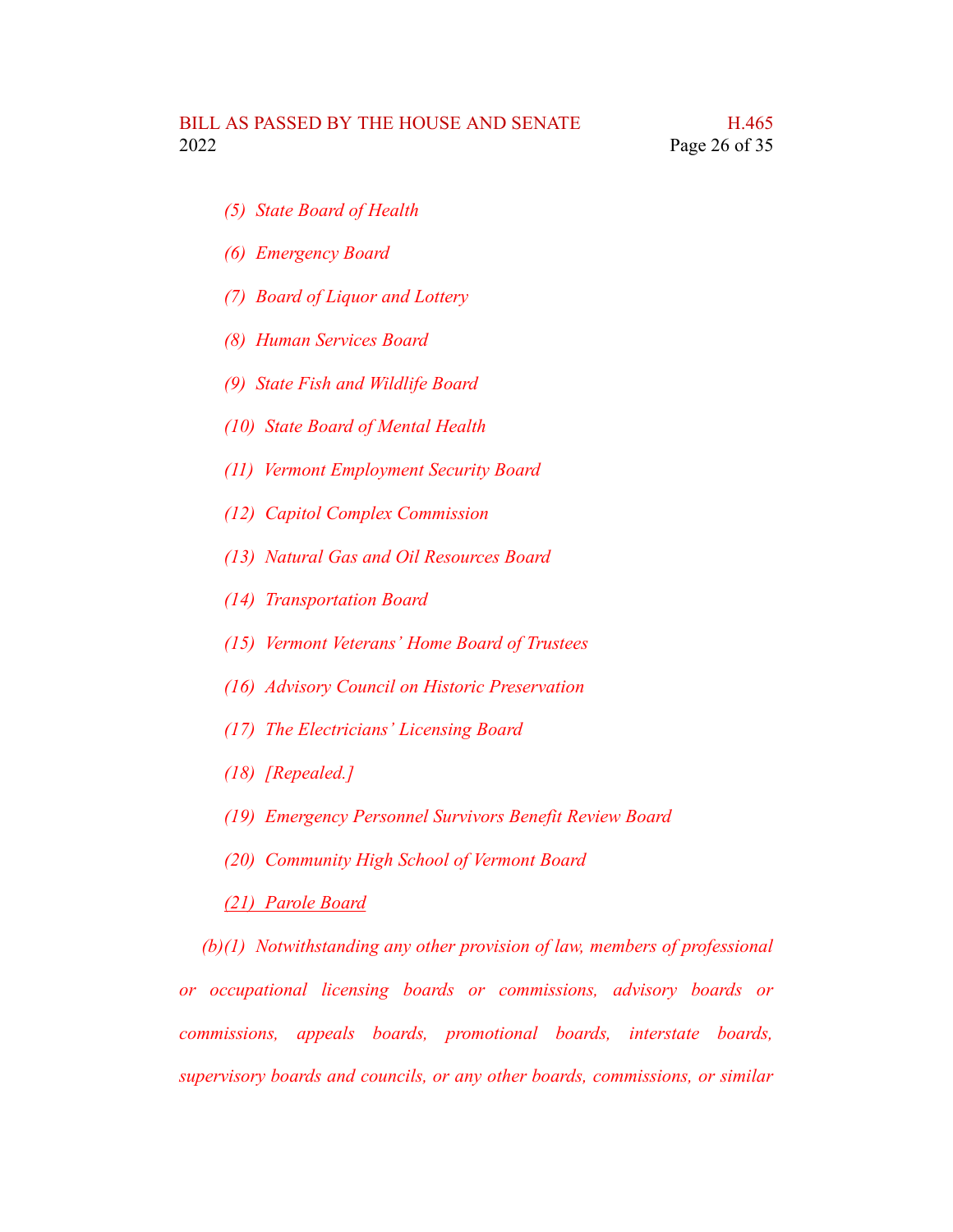- *(5) State Board of Health*
- *(6) Emergency Board*
- *(7) Board of Liquor and Lottery*
- *(8) Human Services Board*
- *(9) State Fish and Wildlife Board*
- *(10) State Board of Mental Health*
- *(11) Vermont Employment Security Board*
- *(12) Capitol Complex Commission*
- *(13) Natural Gas and Oil Resources Board*
- *(14) Transportation Board*
- *(15) Vermont Veterans' Home Board of Trustees*
- *(16) Advisory Council on Historic Preservation*
- *(17) The Electricians' Licensing Board*
- *(18) [Repealed.]*
- *(19) Emergency Personnel Survivors Benefit Review Board*
- *(20) Community High School of Vermont Board*

#### *(21) Parole Board*

*(b)(1) Notwithstanding any other provision of law, members of professional or occupational licensing boards or commissions, advisory boards or commissions, appeals boards, promotional boards, interstate boards, supervisory boards and councils, or any other boards, commissions, or similar*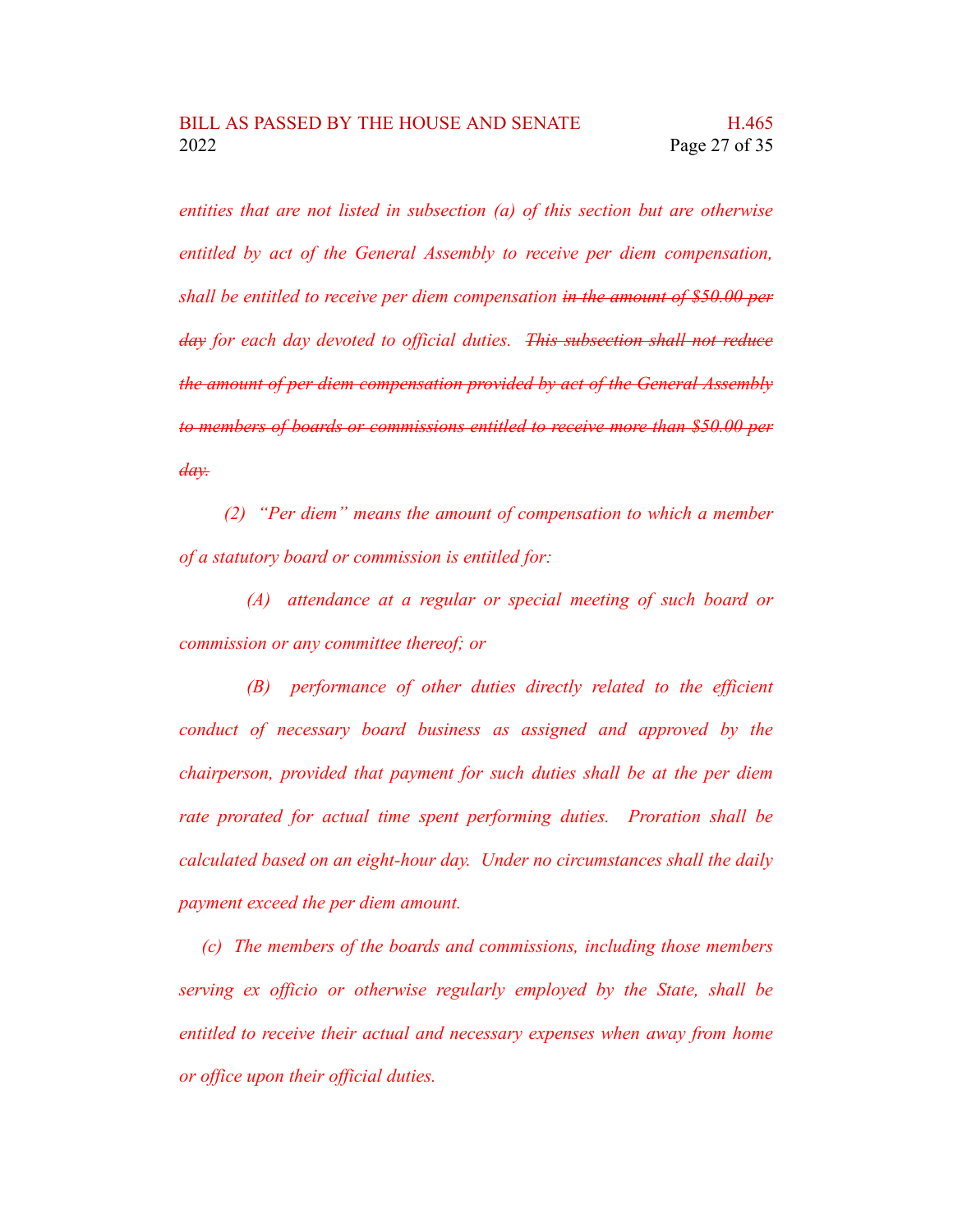*entities that are not listed in subsection (a) of this section but are otherwise entitled by act of the General Assembly to receive per diem compensation, shall be entitled to receive per diem compensation in the amount of \$50.00 per day for each day devoted to official duties. This subsection shall not reduce the amount of per diem compensation provided by act of the General Assembly to members of boards or commissions entitled to receive more than \$50.00 per day.*

*(2) "Per diem" means the amount of compensation to which a member of a statutory board or commission is entitled for:*

*(A) attendance at a regular or special meeting of such board or commission or any committee thereof; or*

*(B) performance of other duties directly related to the efficient conduct of necessary board business as assigned and approved by the chairperson, provided that payment for such duties shall be at the per diem rate prorated for actual time spent performing duties. Proration shall be calculated based on an eight-hour day. Under no circumstances shall the daily payment exceed the per diem amount.*

*(c) The members of the boards and commissions, including those members serving ex officio or otherwise regularly employed by the State, shall be entitled to receive their actual and necessary expenses when away from home or office upon their official duties.*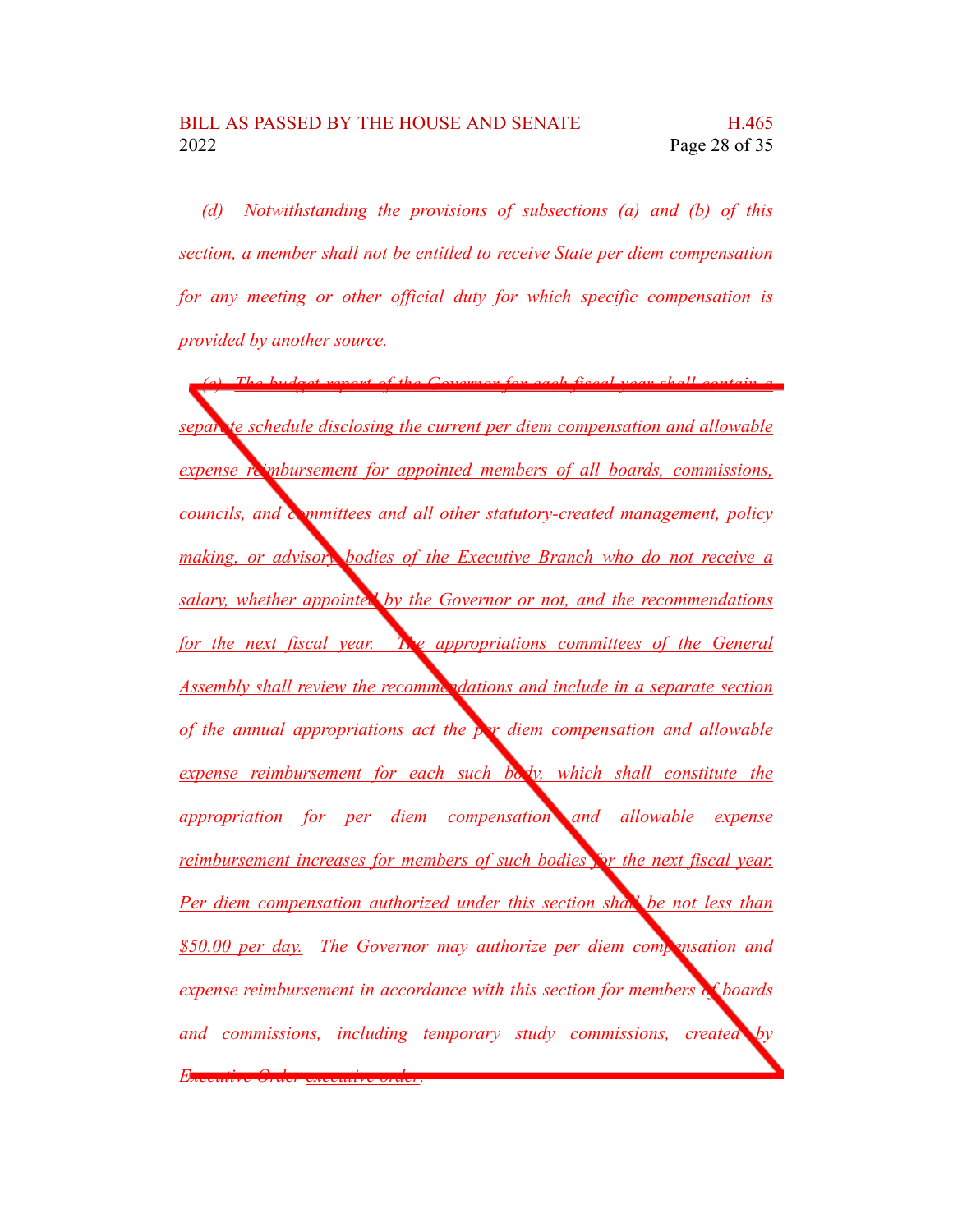*(d) Notwithstanding the provisions of subsections (a) and (b) of this section, a member shall not be entitled to receive State per diem compensation for any meeting or other official duty for which specific compensation is provided by another source.*

*(e) The budget report of the Governor for each fiscal year shall contain a separate schedule disclosing the current per diem compensation and allowable expense reimbursement for appointed members of all boards, commissions, councils, and committees and all other statutory-created management, policy making, or advisory bodies of the Executive Branch who do not receive a salary, whether appointed by the Governor or not, and the recommendations for the next fiscal year. The appropriations committees of the General Assembly shall review the recommendations and include in a separate section of the annual appropriations act the per diem compensation and allowable expense reimbursement for each such body, which shall constitute the appropriation for per diem compensation and allowable expense reimbursement increases for members of such bodies for the next fiscal year. Per diem compensation authorized under this section shall be not less than \$50.00 per day. The Governor may authorize per diem compensation and expense reimbursement in accordance with this section for members of boards and commissions, including temporary study commissions, created by Executive Order executive order.*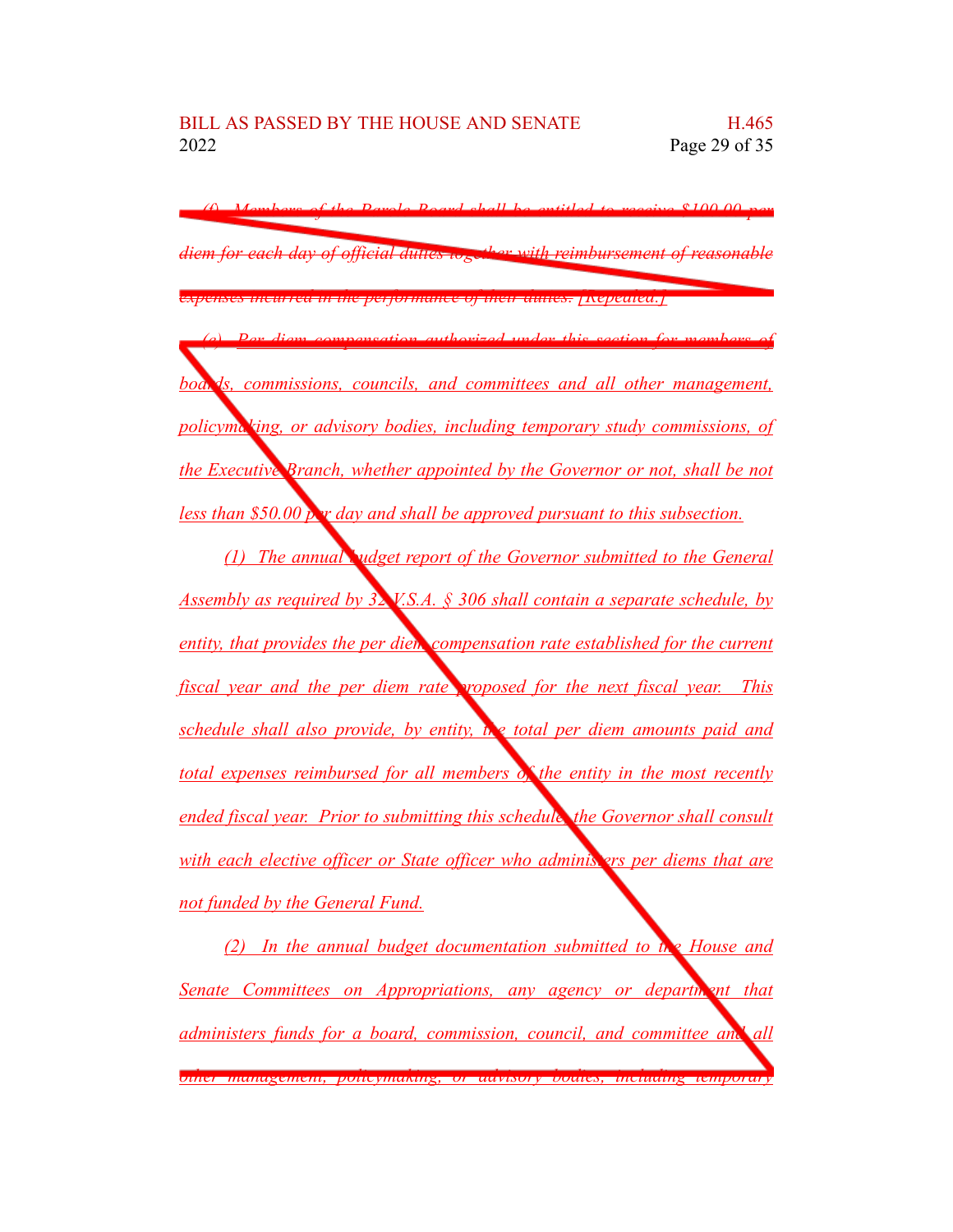*(f) Members of the Parole Board shall be entitled to receive \$100.00 per diem for each day of official duties together with reimbursement of reasonable expenses incurred in the performance of their duties. [Repealed.]*

*(e) Per diem compensation authorized under this section for members of*

 $ds$ , *commissions, councils, and committees and all other management, policymaking, or advisory bodies, including temporary study commissions, of the Executive Branch, whether appointed by the Governor or not, shall be not less than \$50.00 per day and shall be approved pursuant to this subsection.*

*(1) The annual budget report of the Governor submitted to the General Assembly as required by 32 V.S.A. § 306 shall contain a separate schedule, by entity, that provides the per diem compensation rate established for the current fiscal year and the per diem rate proposed for the next fiscal year. This schedule shall also provide, by entity, the total per diem amounts paid and total expenses reimbursed for all members of the entity in the most recently ended fiscal year. Prior to submitting this schedule, the Governor shall consult with each elective officer or State officer who administers per diems that are not funded by the General Fund.*

*(2) In the annual budget documentation submitted to the House and Senate Committees on Appropriations, any agency or department that administers funds for a board, commission, council, and committee and all other management, policymaking, or advisory bodies, including temporary*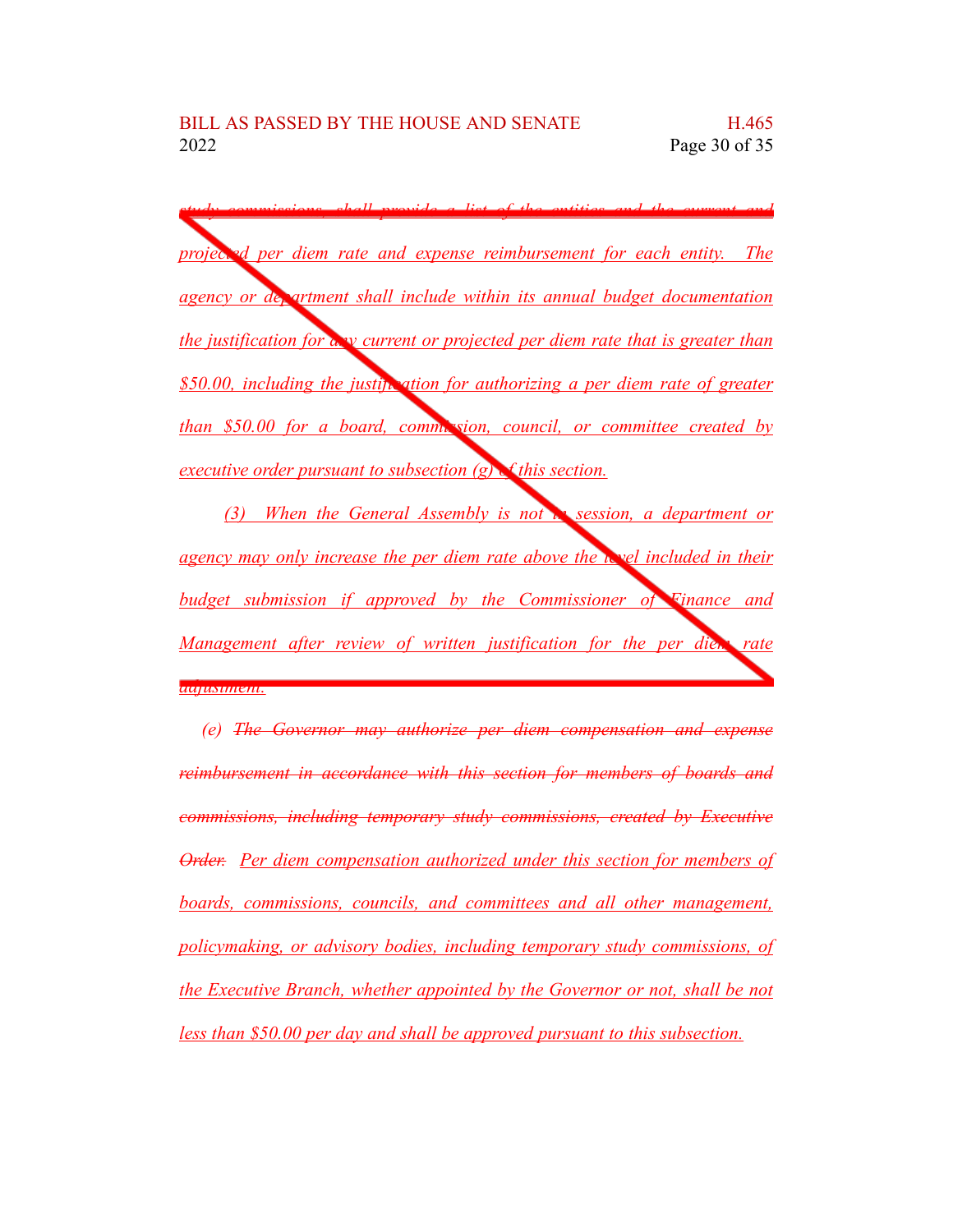*study commissions, shall provide a list of the entities and the current and projected per diem rate and expense reimbursement for each entity. The agency or department shall include within its annual budget documentation the justification for any current or projected per diem rate that is greater than \$50.00, including the justification for authorizing a per diem rate of greater than \$50.00 for a board, commission, council, or committee created by executive order pursuant to subsection (g) of this section.*

*(3) When the General Assembly is not in session, a department or agency may only increase the per diem rate above the level included in their budget submission if approved by the Commissioner of Finance and Management after review of written justification for the per diem rate adjustment.*

*(e) The Governor may authorize per diem compensation and expense reimbursement in accordance with this section for members of boards and commissions, including temporary study commissions, created by Executive Order. Per diem compensation authorized under this section for members of boards, commissions, councils, and committees and all other management, policymaking, or advisory bodies, including temporary study commissions, of the Executive Branch, whether appointed by the Governor or not, shall be not less than \$50.00 per day and shall be approved pursuant to this subsection.*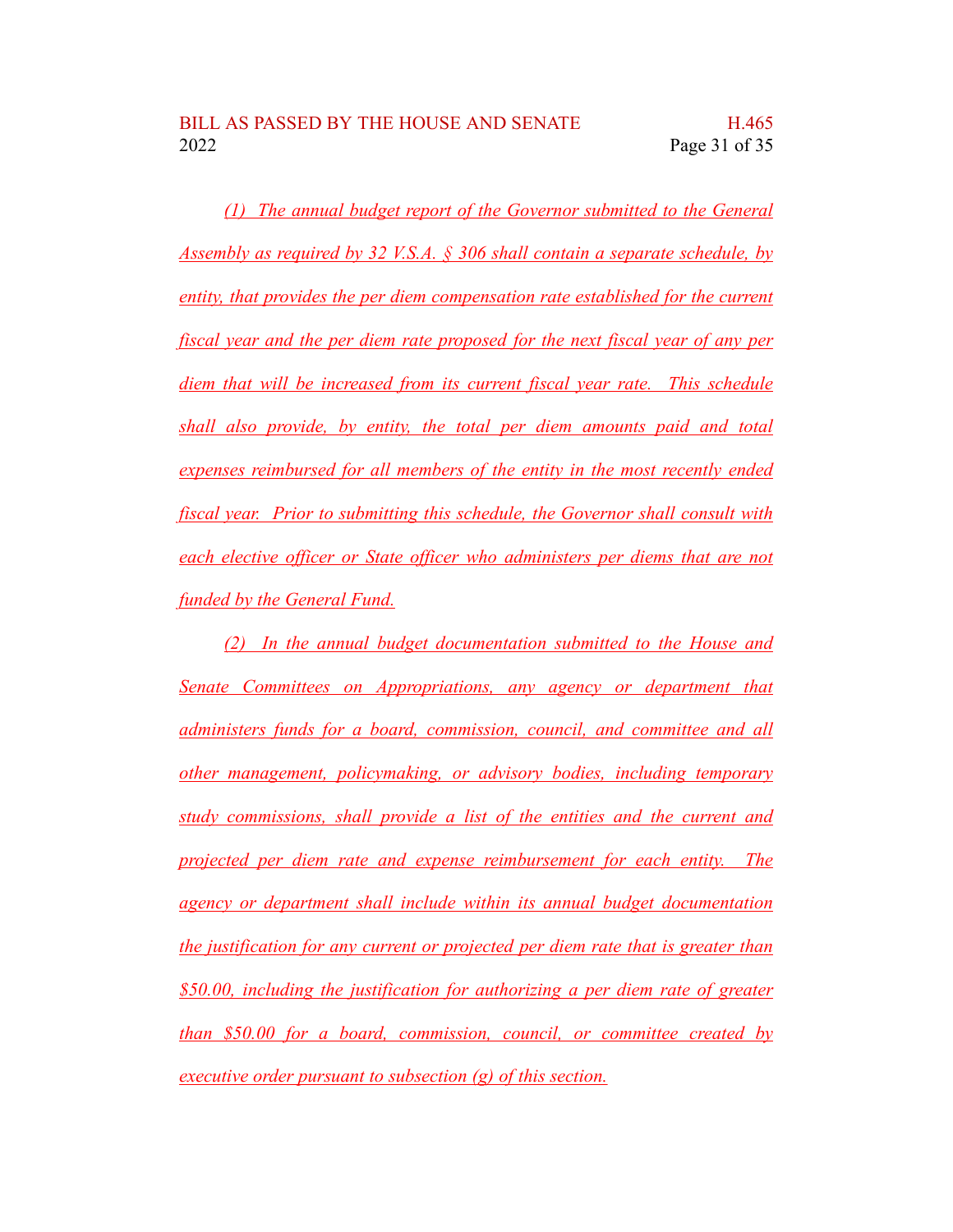*(1) The annual budget report of the Governor submitted to the General Assembly as required by 32 V.S.A. § 306 shall contain a separate schedule, by entity, that provides the per diem compensation rate established for the current fiscal year and the per diem rate proposed for the next fiscal year of any per diem that will be increased from its current fiscal year rate. This schedule shall also provide, by entity, the total per diem amounts paid and total expenses reimbursed for all members of the entity in the most recently ended fiscal year. Prior to submitting this schedule, the Governor shall consult with each elective officer or State officer who administers per diems that are not funded by the General Fund.*

*(2) In the annual budget documentation submitted to the House and Senate Committees on Appropriations, any agency or department that administers funds for a board, commission, council, and committee and all other management, policymaking, or advisory bodies, including temporary study commissions, shall provide a list of the entities and the current and projected per diem rate and expense reimbursement for each entity. The agency or department shall include within its annual budget documentation the justification for any current or projected per diem rate that is greater than \$50.00, including the justification for authorizing a per diem rate of greater than \$50.00 for a board, commission, council, or committee created by executive order pursuant to subsection (g) of this section.*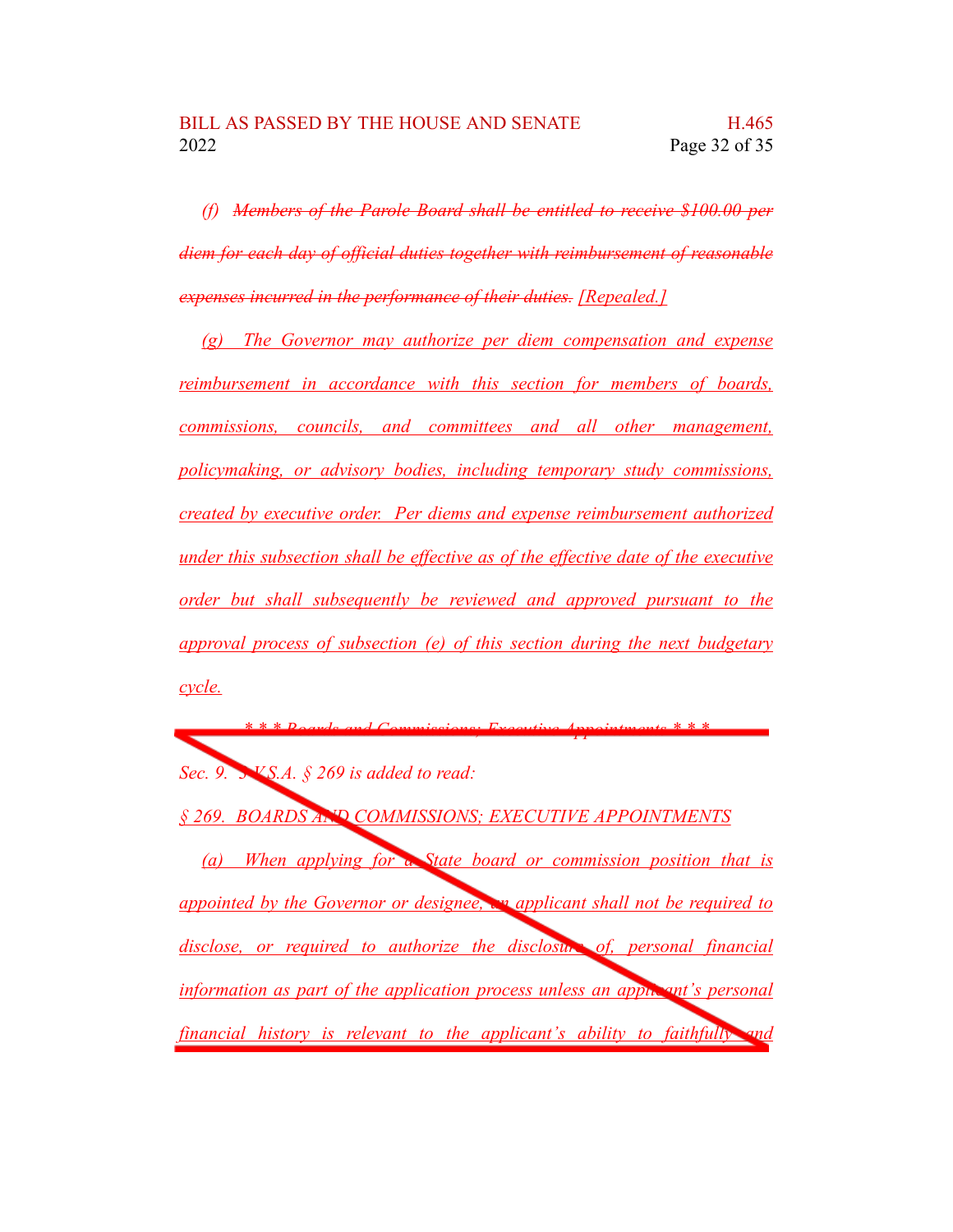*(f) Members of the Parole Board shall be entitled to receive \$100.00 per diem for each day of official duties together with reimbursement of reasonable expenses incurred in the performance of their duties. [Repealed.]*

*(g) The Governor may authorize per diem compensation and expense reimbursement in accordance with this section for members of boards, commissions, councils, and committees and all other management, policymaking, or advisory bodies, including temporary study commissions, created by executive order. Per diems and expense reimbursement authorized under this subsection shall be effective as of the effective date of the executive order but shall subsequently be reviewed and approved pursuant to the approval process of subsection (e) of this section during the next budgetary cycle.*

*\* \* \* Boards and Commissions; Executive Appointments \* \* \* Sec. 9. 3 V.S.A. § 269 is added to read: § 269. BOARDS AND COMMISSIONS; EXECUTIVE APPOINTMENTS (a) When applying for a State board or commission position that is appointed by the Governor or designee, an applicant shall not be required to disclose, or required to authorize the disclosure of, personal financial information as part of the application process unless an applicant's personal financial history is relevant to the applicant's ability to faithfully and*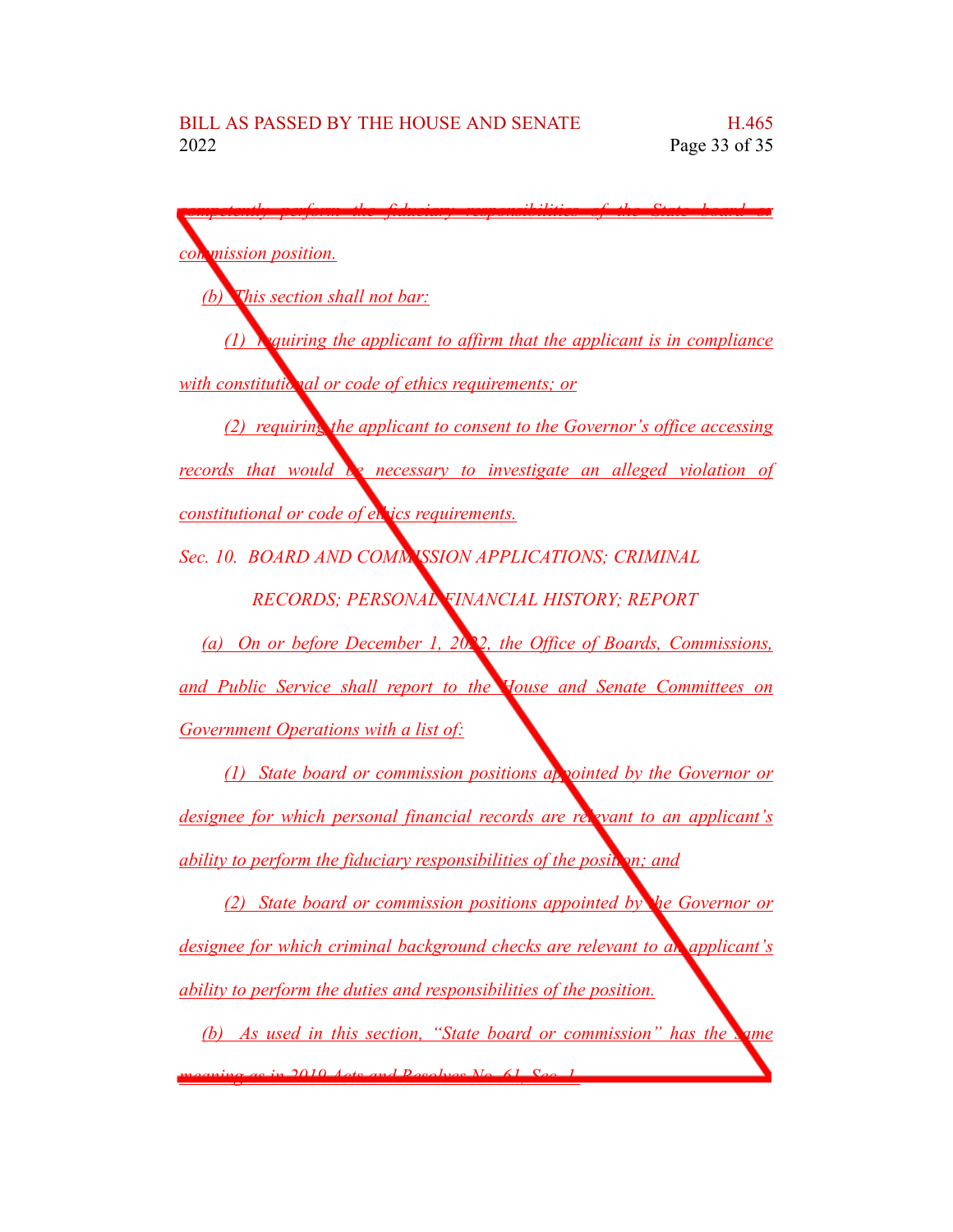*competently perform the fiduciary responsibilities of the State board or commission position. (b) This section shall not bar: (1) requiring the applicant to affirm that the applicant is in compliance <u>with constitutional or code of ethics requirements; or*</u> *(2) requiring the applicant to consent to the Governor's office accessing records that would be necessary to investigate an alleged violation of constitutional or code of ethics requirements. Sec. 10. BOARD AND COMMISSION APPLICATIONS; CRIMINAL RECORDS; PERSONAL FINANCIAL HISTORY; REPORT (a) On or before December 1, 2022, the Office of Boards, Commissions, and Public Service shall report to the House and Senate Committees on Government Operations with a list of: (1) State board or commission positions appointed by the Governor or designee for which personal financial records are relevant to an applicant's ability to perform the fiduciary responsibilities of the position; and (2) State board or commission positions appointed by the Governor or designee for which criminal background checks are relevant to an applicant's ability to perform the duties and responsibilities of the position. (b) As used in this section, "State board or commission" has the same meaning as in 2019 Acts and Resolves No. 61, Sec. 1.*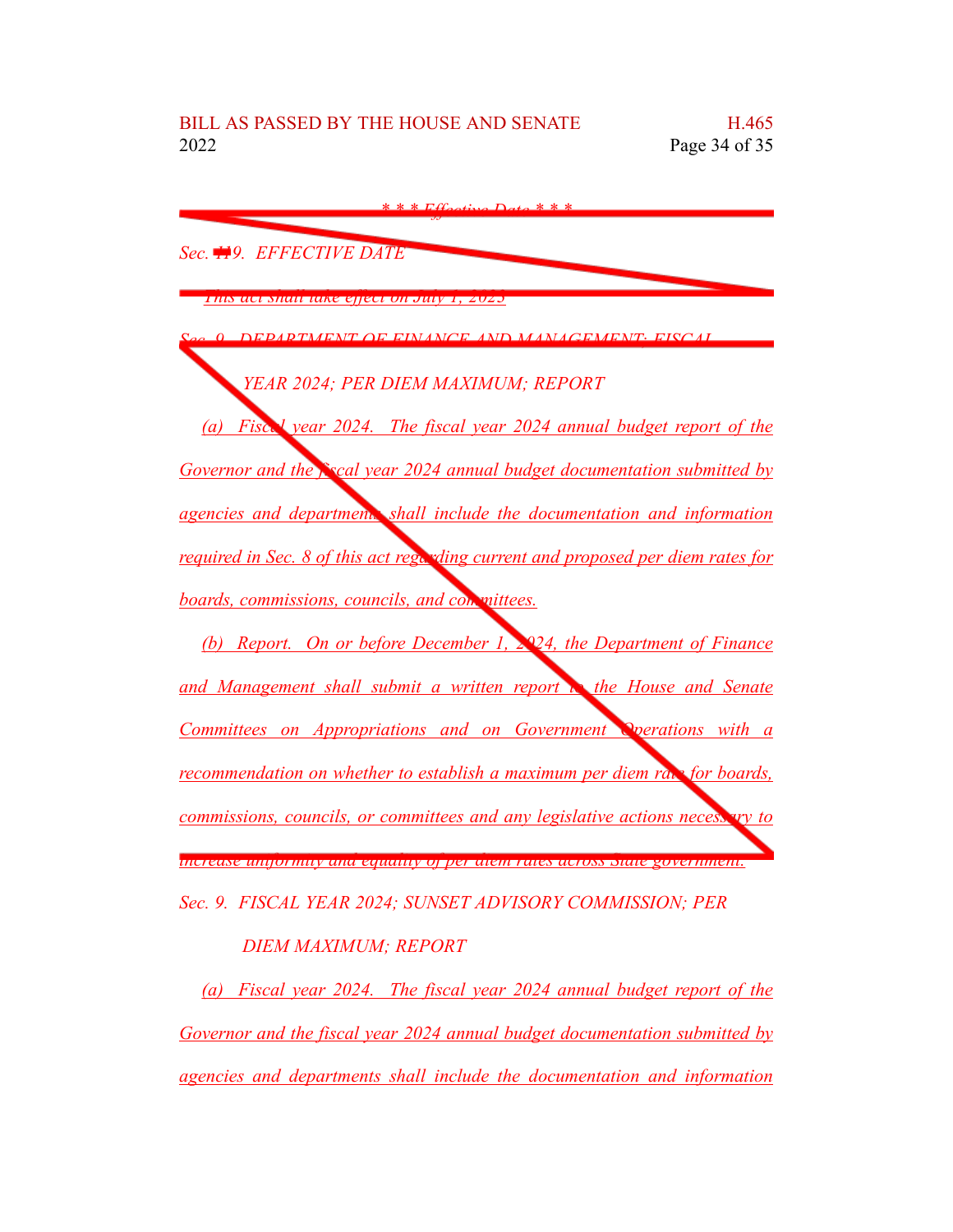| $*$ * $Fffactive$ Data * * *                                                     |
|----------------------------------------------------------------------------------|
| Sec. <b>119.</b> EFFECTIVE DATE                                                  |
| This act shall take effect on July 1, 2025                                       |
| 20 O DEPARTMENT OF FINANCE AND MANAGEMENT: FISCAL                                |
| YEAR 2024; PER DIEM MAXIMUM; REPORT                                              |
| (a) Fisc. <i>Vear 2024.</i> The fiscal year 2024 annual budget report of the     |
| Governor and the Excal year 2024 annual budget documentation submitted by        |
| agencies and department shall include the documentation and information          |
| required in Sec. 8 of this act regarding current and proposed per diem rates for |
| boards, commissions, councils, and con mittees.                                  |
| (b) Report. On or before December 1, 2024, the Department of Finance             |
| and Management shall submit a written report a the House and Senate              |
| Committees on Appropriations and on Government Operations with a                 |
| <u>recommendation on whether to establish a maximum per diem raw for boards,</u> |
| commissions, councils, or committees and any legislative actions necess ary to   |
| ниягия инуотниу ана гушину оррег шен тако истом мае зоverникт.                   |
| Sec. 9. FISCAL YEAR 2024; SUNSET ADVISORY COMMISSION; PER                        |
| DIEM MAXIMUM; REPORT                                                             |

*(a) Fiscal year 2024. The fiscal year 2024 annual budget report of the Governor and the fiscal year 2024 annual budget documentation submitted by agencies and departments shall include the documentation and information*